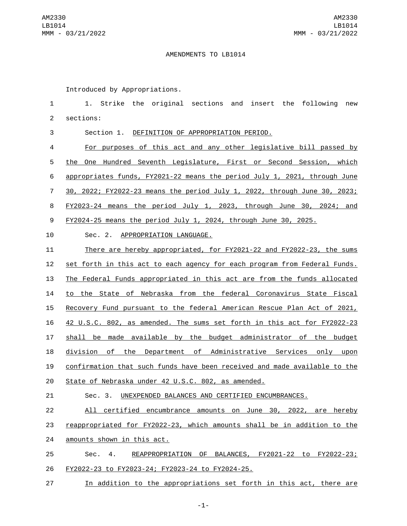## AMENDMENTS TO LB1014

Introduced by Appropriations.

 1. Strike the original sections and insert the following new 2 sections: Section 1. DEFINITION OF APPROPRIATION PERIOD. For purposes of this act and any other legislative bill passed by the One Hundred Seventh Legislature, First or Second Session, which appropriates funds, FY2021-22 means the period July 1, 2021, through June 30, 2022; FY2022-23 means the period July 1, 2022, through June 30, 2023; FY2023-24 means the period July 1, 2023, through June 30, 2024; and FY2024-25 means the period July 1, 2024, through June 30, 2025. 10 Sec. 2. APPROPRIATION LANGUAGE. There are hereby appropriated, for FY2021-22 and FY2022-23, the sums set forth in this act to each agency for each program from Federal Funds. The Federal Funds appropriated in this act are from the funds allocated to the State of Nebraska from the federal Coronavirus State Fiscal Recovery Fund pursuant to the federal American Rescue Plan Act of 2021, 42 U.S.C. 802, as amended. The sums set forth in this act for FY2022-23 shall be made available by the budget administrator of the budget 18 division of the Department of Administrative Services only upon confirmation that such funds have been received and made available to the State of Nebraska under 42 U.S.C. 802, as amended. Sec. 3. UNEXPENDED BALANCES AND CERTIFIED ENCUMBRANCES. All certified encumbrance amounts on June 30, 2022, are hereby

 reappropriated for FY2022-23, which amounts shall be in addition to the 24 amounts shown in this act.

- Sec. 4. REAPPROPRIATION OF BALANCES, FY2021-22 to FY2022-23; FY2022-23 to FY2023-24; FY2023-24 to FY2024-25.26
- In addition to the appropriations set forth in this act, there are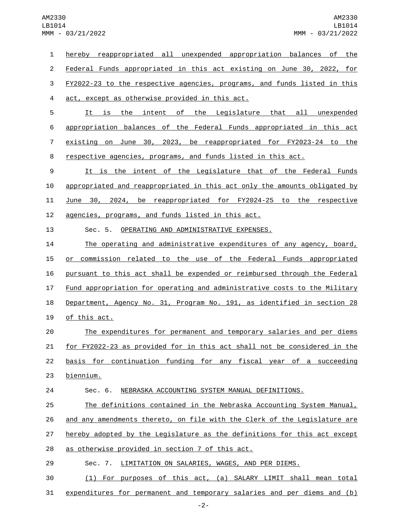hereby reappropriated all unexpended appropriation balances of the Federal Funds appropriated in this act existing on June 30, 2022, for FY2022-23 to the respective agencies, programs, and funds listed in this act, except as otherwise provided in this act.4

 It is the intent of the Legislature that all unexpended appropriation balances of the Federal Funds appropriated in this act existing on June 30, 2023, be reappropriated for FY2023-24 to the respective agencies, programs, and funds listed in this act.

 It is the intent of the Legislature that of the Federal Funds appropriated and reappropriated in this act only the amounts obligated by June 30, 2024, be reappropriated for FY2024-25 to the respective 12 agencies, programs, and funds listed in this act.

Sec. 5. OPERATING AND ADMINISTRATIVE EXPENSES.

 The operating and administrative expenditures of any agency, board, or commission related to the use of the Federal Funds appropriated pursuant to this act shall be expended or reimbursed through the Federal Fund appropriation for operating and administrative costs to the Military Department, Agency No. 31, Program No. 191, as identified in section 28 19 of this act.

 The expenditures for permanent and temporary salaries and per diems for FY2022-23 as provided for in this act shall not be considered in the basis for continuation funding for any fiscal year of a succeeding 23 biennium.

Sec. 6. NEBRASKA ACCOUNTING SYSTEM MANUAL DEFINITIONS.

 The definitions contained in the Nebraska Accounting System Manual, and any amendments thereto, on file with the Clerk of the Legislature are 27 hereby adopted by the Legislature as the definitions for this act except 28 as otherwise provided in section 7 of this act.

Sec. 7. LIMITATION ON SALARIES, WAGES, AND PER DIEMS.

 (1) For purposes of this act, (a) SALARY LIMIT shall mean total expenditures for permanent and temporary salaries and per diems and (b)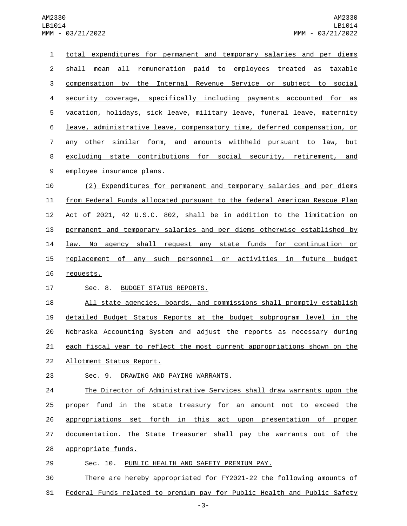| $\mathbf{1}$     | total expenditures for permanent and temporary salaries and per diems       |
|------------------|-----------------------------------------------------------------------------|
| $\overline{c}$   | shall mean all remuneration paid to employees treated as taxable            |
| 3                | compensation by the Internal Revenue Service or subject to social           |
| 4                | security coverage, specifically including payments accounted for as         |
| 5                | vacation, holidays, sick leave, military leave, funeral leave, maternity    |
| $\,6$            | leave, administrative leave, compensatory time, deferred compensation, or   |
| $\overline{7}$   | any other similar form, and amounts withheld pursuant to law, but           |
| 8                | excluding state contributions for social security, retirement, and          |
| $\boldsymbol{9}$ | employee insurance plans.                                                   |
| 10               | (2) Expenditures for permanent and temporary salaries and per diems         |
| 11               | from Federal Funds allocated pursuant to the federal American Rescue Plan   |
| 12               | Act of 2021, 42 U.S.C. 802, shall be in addition to the limitation on       |
| 13               | permanent and temporary salaries and per diems otherwise established by     |
| 14               | law. No agency shall request any state funds for continuation or            |
| 15               | replacement of any such personnel or activities in future budget            |
| 16               | requests.                                                                   |
| 17               | Sec. 8. BUDGET STATUS REPORTS.                                              |
| 18               | All state agencies, boards, and commissions shall promptly establish        |
| 19               | detailed Budget Status Reports at the budget subprogram level in the        |
| 20               | Nebraska Accounting System and adjust the reports as necessary during       |
| 21               | each fiscal year to reflect the most current appropriations shown on the    |
| 22               | Allotment Status Report.                                                    |
| 23               | Sec. 9. DRAWING AND PAYING WARRANTS.                                        |
| 24               | <u>The Director of Administrative Services shall draw warrants upon the</u> |
| 25               | proper fund in the state treasury for an amount not to exceed the           |
| 26               | appropriations set forth in this act upon presentation of proper            |
| 27               | documentation. The State Treasurer shall pay the warrants out of the        |
| 28               | appropriate funds.                                                          |
| 29               | PUBLIC HEALTH AND SAFETY PREMIUM PAY.<br>Sec. 10.                           |
| 30               | There are hereby appropriated for FY2021-22 the following amounts of        |
| 31               | Federal Funds related to premium pay for Public Health and Public Safety    |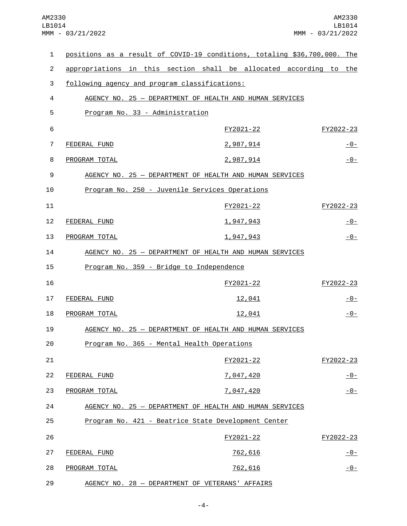| $\mathbf{1}$   |                                                 | positions as a result of COVID-19 conditions, totaling \$36,700,000. The |                |
|----------------|-------------------------------------------------|--------------------------------------------------------------------------|----------------|
| $\overline{2}$ |                                                 | appropriations in this section shall be allocated according to the       |                |
| 3              | following agency and program classifications:   |                                                                          |                |
| 4              |                                                 | AGENCY NO. 25 - DEPARTMENT OF HEALTH AND HUMAN SERVICES                  |                |
| 5              | Program No. 33 - Administration                 |                                                                          |                |
| 6              |                                                 | FY2021-22                                                                | FY2022-23      |
| $\overline{7}$ | FEDERAL FUND                                    | 2,987,914                                                                | $-0-$          |
| 8              | PROGRAM TOTAL                                   | 2,987,914                                                                | $-0-$          |
| 9              |                                                 | AGENCY NO. 25 - DEPARTMENT OF HEALTH AND HUMAN SERVICES                  |                |
| 10             | Program No. 250 - Juvenile Services Operations  |                                                                          |                |
| 11             |                                                 | FY2021-22                                                                | FY2022-23      |
| 12             | FEDERAL FUND                                    | 1,947,943                                                                | $-0-$          |
| 13             | PROGRAM TOTAL                                   | 1,947,943                                                                | $-0-$          |
| 14             |                                                 | AGENCY NO. 25 - DEPARTMENT OF HEALTH AND HUMAN SERVICES                  |                |
| 15             | Program No. 359 - Bridge to Independence        |                                                                          |                |
| 16             |                                                 | FY2021-22                                                                | FY2022-23      |
| 17             | FEDERAL FUND                                    | 12,041                                                                   | $-0-$          |
| 18             | PROGRAM TOTAL                                   | 12,041                                                                   | $-0-$          |
| 19             |                                                 | AGENCY NO. 25 - DEPARTMENT OF HEALTH AND HUMAN SERVICES                  |                |
| 20             | Program No. 365 - Mental Health Operations      |                                                                          |                |
| 21             |                                                 | FY2021-22                                                                | FY2022-23      |
| 22             | FEDERAL FUND                                    | 7,047,420                                                                | <u>-0-</u>     |
| 23             | PROGRAM TOTAL                                   | 7,047,420                                                                | <u> - 0 - </u> |
| 24             |                                                 | AGENCY NO. 25 - DEPARTMENT OF HEALTH AND HUMAN SERVICES                  |                |
| 25             |                                                 | Program No. 421 - Beatrice State Development Center                      |                |
| 26             |                                                 | FY2021-22                                                                | FY2022-23      |
| 27             | FEDERAL FUND                                    | 762,616                                                                  | <u>- 0 - </u>  |
| 28             | PROGRAM TOTAL                                   | 762,616                                                                  | <u> - 0 - </u> |
| 29             | AGENCY NO. 28 - DEPARTMENT OF VETERANS' AFFAIRS |                                                                          |                |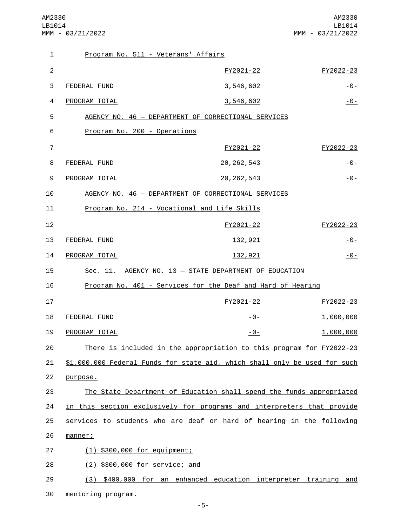| $\mathbf{1}$     | Program No. 511 - Veterans' Affairs          |                                                                            |           |
|------------------|----------------------------------------------|----------------------------------------------------------------------------|-----------|
| $\overline{2}$   |                                              | FY2021-22                                                                  | FY2022-23 |
| 3                | FEDERAL FUND                                 | 3,546,602                                                                  | $-0-$     |
| 4                | PROGRAM TOTAL                                | 3,546,602                                                                  | $-0-$     |
| 5                |                                              | AGENCY NO. 46 - DEPARTMENT OF CORRECTIONAL SERVICES                        |           |
| 6                | Program No. 200 - Operations                 |                                                                            |           |
| $\overline{7}$   |                                              | FY2021-22                                                                  | FY2022-23 |
| 8                | FEDERAL FUND                                 | 20, 262, 543                                                               | $-0-$     |
| $\boldsymbol{9}$ | PROGRAM TOTAL                                | 20, 262, 543                                                               | $-0-$     |
| 10               |                                              | AGENCY NO. 46 - DEPARTMENT OF CORRECTIONAL SERVICES                        |           |
| 11               | Program No. 214 - Vocational and Life Skills |                                                                            |           |
| 12               |                                              | FY2021-22                                                                  | FY2022-23 |
| 13               | FEDERAL FUND                                 | 132,921                                                                    | $-0-$     |
| 14               | PROGRAM TOTAL                                | <u>132,921</u>                                                             | $-0-$     |
| 15               |                                              | Sec. 11. AGENCY NO. 13 - STATE DEPARTMENT OF EDUCATION                     |           |
| 16               |                                              | Program No. 401 - Services for the Deaf and Hard of Hearing                |           |
| 17               |                                              | FY2021-22                                                                  | FY2022-23 |
| 18               | <b>FEDERAL FUND</b>                          | $-0-$                                                                      | 1,000,000 |
| 19               | PROGRAM TOTAL                                | -0-                                                                        | 1,000,000 |
| 20               |                                              | There is included in the appropriation to this program for FY2022-23       |           |
| 21               |                                              | \$1,000,000 Federal Funds for state aid, which shall only be used for such |           |
| 22               | purpose.                                     |                                                                            |           |
| 23               |                                              | The State Department of Education shall spend the funds appropriated       |           |
| 24               |                                              | in this section exclusively for programs and interpreters that provide     |           |
| 25               |                                              | services to students who are deaf or hard of hearing in the following      |           |
| 26               | manner:                                      |                                                                            |           |
| 27               | (1) \$300,000 for equipment;                 |                                                                            |           |
| 28               | (2) \$300,000 for service; and               |                                                                            |           |
| 29<br>30         | mentoring program.                           | (3) \$400,000 for an enhanced education interpreter training and           |           |
|                  |                                              |                                                                            |           |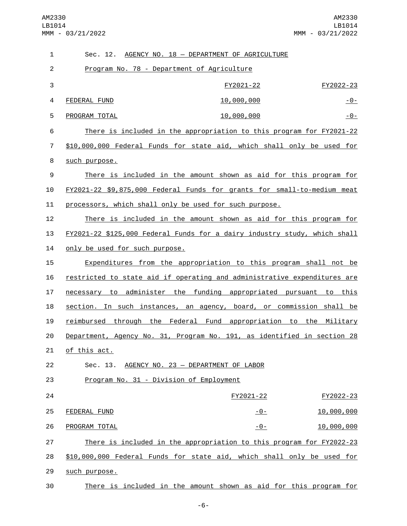| 1              | Sec. 12. AGENCY NO. 18 - DEPARTMENT OF AGRICULTURE                        |
|----------------|---------------------------------------------------------------------------|
| $\overline{2}$ | Program No. 78 - Department of Agriculture                                |
| 3              | FY2021-22<br>FY2022-23                                                    |
| 4              | 10,000,000<br>FEDERAL FUND<br><u> - 0 - </u>                              |
| 5              | PROGRAM TOTAL<br>10,000,000<br><u> - 0 - </u>                             |
| 6              | There is included in the appropriation to this program for FY2021-22      |
| 7              | \$10,000,000 Federal Funds for state aid, which shall only be used for    |
| 8              | such purpose.                                                             |
| 9              | There is included in the amount shown as aid for this program for         |
| 10             | FY2021-22 \$9,875,000 Federal Funds for grants for small-to-medium meat   |
| 11             | processors, which shall only be used for such purpose.                    |
| 12             | There is included in the amount shown as aid for this program for         |
| 13             | FY2021-22 \$125,000 Federal Funds for a dairy industry study, which shall |
| 14             | only be used for such purpose.                                            |
| 15             | Expenditures from the appropriation to this program shall not be          |
| 16             | restricted to state aid if operating and administrative expenditures are  |
| 17             | necessary to administer the funding appropriated pursuant to this         |
| 18             | section. In such instances, an agency, board, or commission shall be      |
| 19             | reimbursed through the Federal Fund appropriation to the Military         |
| 20             | Department, Agency No. 31, Program No. 191, as identified in section 28   |
| 21             | of this act.                                                              |
| 22             | Sec. 13.<br>AGENCY NO. 23 - DEPARTMENT OF LABOR                           |
| 23             | Program No. 31 - Division of Employment                                   |
| 24             | FY2021-22<br>FY2022-23                                                    |
| 25             | FEDERAL FUND<br>10,000,000<br>$-0-$                                       |
| 26             | PROGRAM TOTAL<br>$-0-$<br>10,000,000                                      |
| 27             | There is included in the appropriation to this program for FY2022-23      |
| 28             | \$10,000,000 Federal Funds for state aid, which shall only be used for    |
| 29             | such purpose.                                                             |
| 30             | There is included in the amount shown as aid for this program for         |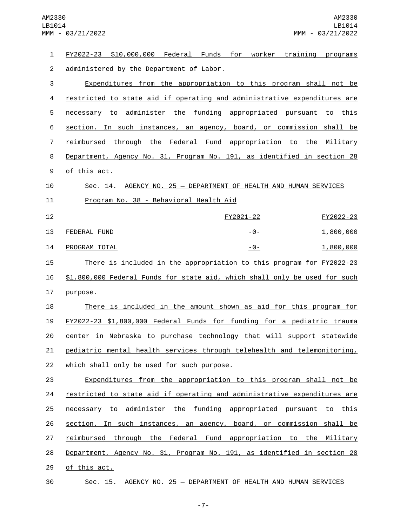| $\mathbf{1}$   | FY2022-23 \$10,000,000 Federal Funds for worker training programs          |
|----------------|----------------------------------------------------------------------------|
| $\overline{2}$ | administered by the Department of Labor.                                   |
| 3              | Expenditures from the appropriation to this program shall not be           |
| 4              | restricted to state aid if operating and administrative expenditures are   |
| 5              | necessary to administer the funding appropriated pursuant to this          |
| 6              | section. In such instances, an agency, board, or commission shall be       |
| $\overline{7}$ | reimbursed through the Federal Fund appropriation to the Military          |
| 8              | Department, Agency No. 31, Program No. 191, as identified in section 28    |
| 9              | <u>of this act.</u>                                                        |
| 10             | Sec. 14. AGENCY NO. 25 - DEPARTMENT OF HEALTH AND HUMAN SERVICES           |
| 11             | Program No. 38 - Behavioral Health Aid                                     |
| 12             | FY2021-22<br>FY2022-23                                                     |
| 13             | FEDERAL FUND<br>1,800,000<br><u> - 0 - </u>                                |
| 14             | PROGRAM TOTAL<br>1,800,000<br>$-0-$                                        |
| 15             | There is included in the appropriation to this program for FY2022-23       |
| 16             | \$1,800,000 Federal Funds for state aid, which shall only be used for such |
| 17             | purpose.                                                                   |
| 18             | There is included in the amount shown as aid for this program for          |
| 19             | FY2022-23 \$1,800,000 Federal Funds for funding for a pediatric trauma     |
| 20             | center in Nebraska to purchase technology that will support statewide      |
| 21             | pediatric mental health services through telehealth and telemonitoring,    |
| 22             | which shall only be used for such purpose.                                 |
| 23             | Expenditures from the appropriation to this program shall not be           |
| 24             | restricted to state aid if operating and administrative expenditures are   |
| 25             | necessary to administer the funding appropriated pursuant to this          |
| 26             | section. In such instances, an agency, board, or commission shall be       |
| 27             | reimbursed through the Federal Fund appropriation to the Military          |
| 28             | Department, Agency No. 31, Program No. 191, as identified in section 28    |
| 29             | of this act.                                                               |
| 30             | Sec. 15. AGENCY NO. 25 - DEPARTMENT OF HEALTH AND HUMAN SERVICES           |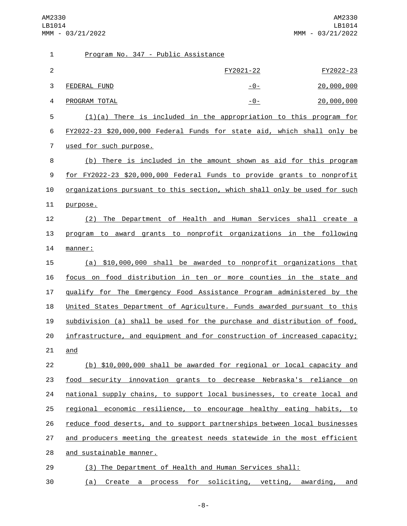| 1              | Program No. 347 - Public Assistance                                              |
|----------------|----------------------------------------------------------------------------------|
| $\overline{2}$ | FY2021-22<br>FY2022-23                                                           |
| 3              | FEDERAL FUND<br>20,000,000<br>$-0-$                                              |
| 4              | PROGRAM TOTAL<br>20,000,000<br>$-0-$                                             |
| 5              | $(1)(a)$ There is included in the appropriation to this program for              |
| 6              | FY2022-23 \$20,000,000 Federal Funds for state aid, which shall only be          |
| $\overline{7}$ | used for such purpose.                                                           |
| 8              | (b) There is included in the amount shown as aid for this program                |
| 9              | for FY2022-23 \$20,000,000 Federal Funds to provide grants to nonprofit          |
| 10             | <u>organizations pursuant to this section, which shall only be used for such</u> |
| 11             | purpose.                                                                         |
| 12             | The Department of Health and Human Services shall create a<br>(2)                |
| 13             | program to award grants to nonprofit organizations in the following              |
| 14             | manner:                                                                          |
| 15             | \$10,000,000 shall be awarded to nonprofit organizations that<br>(a)             |
| 16             | focus on food distribution in ten or more counties in the state and              |
| 17             | gualify for The Emergency Food Assistance Program administered by the            |
| 18             | United States Department of Agriculture. Funds awarded pursuant to this          |
| 19             | subdivision (a) shall be used for the purchase and distribution of food,         |
| 20             | infrastructure, and equipment and for construction of increased capacity;        |
| 21             | <u>and</u>                                                                       |
| 22             | (b) \$10,000,000 shall be awarded for regional or local capacity and             |
| 23             | food security innovation grants to decrease Nebraska's reliance on               |
| 24             | national supply chains, to support local businesses, to create local and         |
| 25             | regional economic resilience, to encourage healthy eating habits, to             |
| 26             | reduce food deserts, and to support partnerships between local businesses        |
| 27             | and producers meeting the greatest needs statewide in the most efficient         |
| 28             | and sustainable manner.                                                          |
| 29             | (3) The Department of Health and Human Services shall:                           |
| 30             | (a) Create a process for soliciting, vetting, awarding,<br>and                   |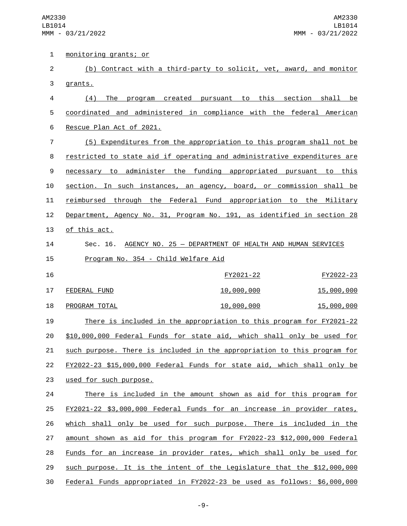| 1              | monitoring grants; or                                                    |                                                         |            |
|----------------|--------------------------------------------------------------------------|---------------------------------------------------------|------------|
| $\overline{2}$ | (b) Contract with a third-party to solicit, vet, award, and monitor      |                                                         |            |
| 3              | grants.                                                                  |                                                         |            |
| 4              | The program created pursuant to this section shall be<br>(4)             |                                                         |            |
| 5              | coordinated and administered in compliance with the federal American     |                                                         |            |
| 6              | Rescue Plan Act of 2021.                                                 |                                                         |            |
| 7              | (5) Expenditures from the appropriation to this program shall not be     |                                                         |            |
| 8              | restricted to state aid if operating and administrative expenditures are |                                                         |            |
| 9              | necessary to administer the funding appropriated pursuant to this        |                                                         |            |
| 10             | section. In such instances, an agency, board, or commission shall be     |                                                         |            |
| 11             | reimbursed through the Federal Fund appropriation to the Military        |                                                         |            |
| 12             | Department, Agency No. 31, Program No. 191, as identified in section 28  |                                                         |            |
| 13             | of this act.                                                             |                                                         |            |
| 14             | Sec. 16.                                                                 | AGENCY NO. 25 - DEPARTMENT OF HEALTH AND HUMAN SERVICES |            |
| 15             | Program No. 354 - Child Welfare Aid                                      |                                                         |            |
|                |                                                                          |                                                         |            |
| 16             |                                                                          | FY2021-22                                               | FY2022-23  |
| 17             | FEDERAL FUND                                                             | 10,000,000                                              | 15,000,000 |
| 18             | PROGRAM TOTAL                                                            | 10,000,000                                              | 15,000,000 |
| 19             | There is included in the appropriation to this program for FY2021-22     |                                                         |            |
| 20             | \$10,000,000 Federal Funds for state aid, which shall only be used for   |                                                         |            |
| 21             | such purpose. There is included in the appropriation to this program for |                                                         |            |
| 22             | FY2022-23 \$15,000,000 Federal Funds for state aid, which shall only be  |                                                         |            |
| 23             | used for such purpose.                                                   |                                                         |            |
| 24             | There is included in the amount shown as aid for this program for        |                                                         |            |
| 25             | FY2021-22 \$3,000,000 Federal Funds for an increase in provider rates,   |                                                         |            |
| 26             | which shall only be used for such purpose. There is included in the      |                                                         |            |
| 27             | amount shown as aid for this program for FY2022-23 \$12,000,000 Federal  |                                                         |            |
| 28             | Funds for an increase in provider rates, which shall only be used for    |                                                         |            |
| 29             | such purpose. It is the intent of the Legislature that the \$12,000,000  |                                                         |            |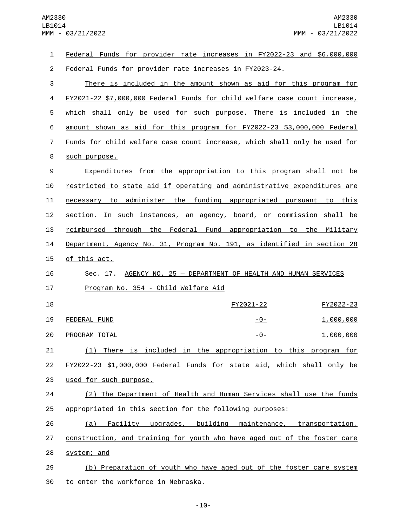| 1              | Federal Funds for provider rate increases in FY2022-23 and \$6,000,000     |
|----------------|----------------------------------------------------------------------------|
| $\overline{2}$ | Federal Funds for provider rate increases in FY2023-24.                    |
| 3              | There is included in the amount shown as aid for this program for          |
| 4              | FY2021-22 \$7,000,000 Federal Funds for child welfare case count increase, |
| 5              | which shall only be used for such purpose. There is included in the        |
| 6              | amount shown as aid for this program for FY2022-23 \$3,000,000 Federal     |
| 7              | Funds for child welfare case count increase, which shall only be used for  |
| 8              | such purpose.                                                              |
| 9              | Expenditures from the appropriation to this program shall not be           |
| 10             | restricted to state aid if operating and administrative expenditures are   |
| 11             | necessary to administer the funding appropriated pursuant to this          |
| 12             | section. In such instances, an agency, board, or commission shall be       |
| 13             | reimbursed through the Federal Fund appropriation to the Military          |
| 14             | Department, Agency No. 31, Program No. 191, as identified in section 28    |
| 15             | of this act.                                                               |
| 16             | Sec. 17. AGENCY NO. 25 - DEPARTMENT OF HEALTH AND HUMAN SERVICES           |
| 17             | Program No. 354 - Child Welfare Aid                                        |
| 18             | FY2021-22<br>FY2022-23                                                     |
| 19             | 1,000,000<br>FEDERAL FUND<br>$-0-$                                         |
| 20             | PROGRAM TOTAL<br>$-0-$<br>1,000,000                                        |
| 21             | (1)<br>There is included in the appropriation to this program for          |
| 22             | FY2022-23 \$1,000,000 Federal Funds for state aid, which shall only be     |
| 23             | used for such purpose.                                                     |
| 24             | (2) The Department of Health and Human Services shall use the funds        |
| 25             | appropriated in this section for the following purposes:                   |
| 26             | Facility upgrades, building maintenance, transportation,<br>(a)            |
| 27             | construction, and training for youth who have aged out of the foster care  |
| 28             | system; and                                                                |
| 29             | (b) Preparation of youth who have aged out of the foster care system       |
| 30             | to enter the workforce in Nebraska.                                        |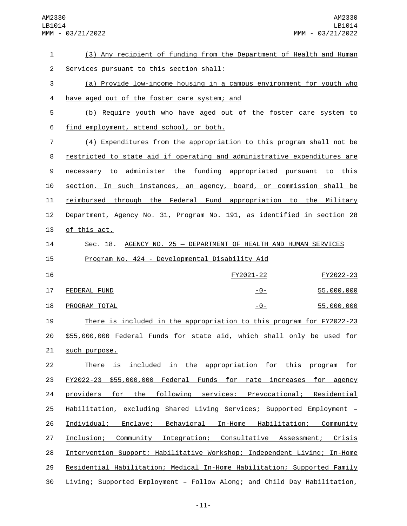| 1              | (3) Any recipient of funding from the Department of Health and Human     |
|----------------|--------------------------------------------------------------------------|
| 2              | Services pursuant to this section shall:                                 |
| 3              | (a) Provide low-income housing in a campus environment for youth who     |
| 4              | have aged out of the foster care system; and                             |
| 5              | (b) Require youth who have aged out of the foster care system to         |
| 6              | find employment, attend school, or both.                                 |
| $\overline{7}$ | (4) Expenditures from the appropriation to this program shall not be     |
| 8              | restricted to state aid if operating and administrative expenditures are |
| 9              | necessary to administer the funding appropriated pursuant to this        |
| 10             | section. In such instances, an agency, board, or commission shall be     |
| 11             | reimbursed through the Federal Fund appropriation to the Military        |
| 12             | Department, Agency No. 31, Program No. 191, as identified in section 28  |
| 13             | of this act.                                                             |
| 14             | AGENCY NO. 25 - DEPARTMENT OF HEALTH AND HUMAN SERVICES<br>Sec. 18.      |
| 15             | Program No. 424 - Developmental Disability Aid                           |
|                |                                                                          |
| 16             | FY2021-22<br>FY2022-23                                                   |
| 17             | 55,000,000<br>FEDERAL FUND<br>$-0-$                                      |
| 18             | PROGRAM TOTAL<br>55,000,000<br>-0-                                       |
| 19             | There is included in the appropriation to this program for FY2022-23     |
| 20             | \$55,000,000 Federal Funds for state aid, which shall only be used for   |
| 21             | such purpose.                                                            |
| 22             | There is included in the appropriation for this program for              |
| 23             | FY2022-23 \$55,000,000 Federal Funds for rate increases for agency       |
| 24             | providers for the following services: Prevocational; Residential         |
| 25             | Habilitation, excluding Shared Living Services; Supported Employment -   |
| 26             | Individual; Enclave; Behavioral In-Home Habilitation; Community          |
| 27             | Community Integration; Consultative Assessment; Crisis<br>Inclusion;     |
| 28             | Intervention Support; Habilitative Workshop; Independent Living; In-Home |
| 29             | Residential Habilitation; Medical In-Home Habilitation; Supported Family |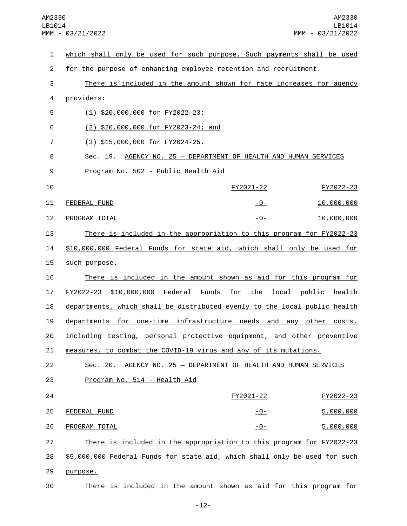| $\mathbf{1}$   | which shall only be used for such purpose. Such payments shall be used     |            |
|----------------|----------------------------------------------------------------------------|------------|
| $\overline{2}$ | for the purpose of enhancing employee retention and recruitment.           |            |
| 3              | There is included in the amount shown for rate increases for agency        |            |
| 4              | providers:                                                                 |            |
| 5              | $(1)$ \$20,000,000 for FY2022-23;                                          |            |
| 6              | (2) \$20,000,000 for FY2023-24; and                                        |            |
| 7              | (3) \$15,000,000 for FY2024-25.                                            |            |
| 8              | Sec. 19. AGENCY NO. 25 - DEPARTMENT OF HEALTH AND HUMAN SERVICES           |            |
| 9              | Program No. 502 - Public Health Aid                                        |            |
| 10             | FY2021-22                                                                  | FY2022-23  |
| 11             | FEDERAL FUND<br>$-0-$                                                      | 10,000,000 |
| 12             | PROGRAM TOTAL<br>-0-                                                       | 10,000,000 |
| 13             | There is included in the appropriation to this program for FY2022-23       |            |
| 14             | \$10,000,000 Federal Funds for state aid, which shall only be used for     |            |
| 15             | such purpose.                                                              |            |
| 16             | There is included in the amount shown as aid for this program for          |            |
| 17             | FY2022-23 \$10,000,000 Federal Funds for the local public health           |            |
| 18             | departments, which shall be distributed evenly to the local public health  |            |
| 19             | departments for one-time infrastructure needs and any other costs,         |            |
| 20             | including testing, personal protective equipment, and other preventive     |            |
| 21             | measures, to combat the COVID-19 virus and any of its mutations.           |            |
| 22             | Sec. 20.<br>AGENCY NO. 25 - DEPARTMENT OF HEALTH AND HUMAN SERVICES        |            |
| 23             | Program No. 514 - Health Aid                                               |            |
| 24             | FY2021-22                                                                  | FY2022-23  |
| 25             | FEDERAL FUND<br><u> - 0 - </u>                                             | 5,000,000  |
| 26             | PROGRAM TOTAL<br>$-0-$                                                     | 5,000,000  |
| 27             | There is included in the appropriation to this program for FY2022-23       |            |
| 28             | \$5,000,000 Federal Funds for state aid, which shall only be used for such |            |
| 29             | purpose.                                                                   |            |
| 30             | There is included in the amount shown as aid for this program for          |            |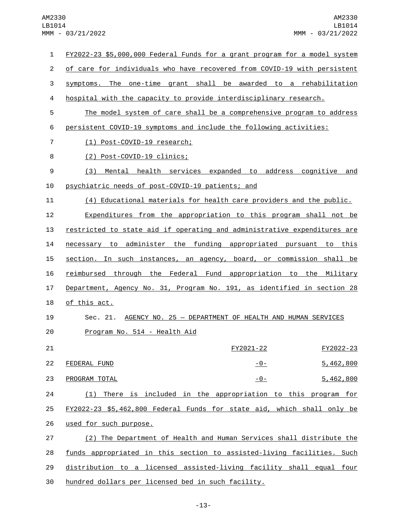| $\mathbf{1}$   | FY2022-23 \$5,000,000 Federal Funds for a grant program for a model system |
|----------------|----------------------------------------------------------------------------|
| $\overline{2}$ | of care for individuals who have recovered from COVID-19 with persistent   |
| 3              | symptoms. The one-time grant shall be awarded to a rehabilitation          |
| 4              | hospital with the capacity to provide interdisciplinary research.          |
| 5              | The model system of care shall be a comprehensive program to address       |
| 6              | persistent COVID-19 symptoms and include the following activities:         |
| $\overline{7}$ | (1) Post-COVID-19 research;                                                |
| 8              | (2) Post-COVID-19 clinics;                                                 |
| 9              | Mental health services expanded to address cognitive<br>(3)<br>and         |
| 10             | psychiatric needs of post-COVID-19 patients; and                           |
| 11             | (4) Educational materials for health care providers and the public.        |
| 12             | Expenditures from the appropriation to this program shall not be           |
| 13             | restricted to state aid if operating and administrative expenditures are   |
| 14             | necessary to administer the funding appropriated pursuant to this          |
| 15             | section. In such instances, an agency, board, or commission shall be       |
| 16             | reimbursed through the Federal Fund appropriation to the Military          |
| 17             | Department, Agency No. 31, Program No. 191, as identified in section 28    |
| 18             | of this act.                                                               |
| 19             | AGENCY NO. 25 - DEPARTMENT OF HEALTH AND HUMAN SERVICES<br>Sec. 21.        |
| 20             | Program No. 514 - Health Aid                                               |
| 21             | FY2021-22<br>FY2022-23                                                     |
| 22             | FEDERAL FUND<br>5,462,800<br>$-0-$                                         |
| 23             | PROGRAM TOTAL<br>5,462,800<br>$-0-$                                        |
| 24             | (1) There is included in the appropriation to this program for             |
| 25             | FY2022-23 \$5,462,800 Federal Funds for state aid, which shall only be     |
| 26             | used for such purpose.                                                     |
| 27             | (2) The Department of Health and Human Services shall distribute the       |
| 28             | funds appropriated in this section to assisted-living facilities. Such     |
| 29             | distribution to a licensed assisted-living facility shall equal four       |
| 30             | hundred dollars per licensed bed in such facility.                         |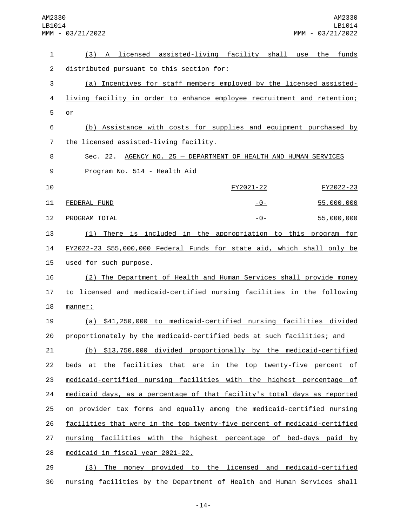| $\mathbf{1}$   | (3) A licensed assisted-living facility shall use the funds               |
|----------------|---------------------------------------------------------------------------|
| $\overline{c}$ | distributed pursuant to this section for:                                 |
| 3              | (a) Incentives for staff members employed by the licensed assisted-       |
| 4              | living facility in order to enhance employee recruitment and retention;   |
| 5              | $or$                                                                      |
| 6              | (b) Assistance with costs for supplies and equipment purchased by         |
| 7              | the licensed assisted-living facility.                                    |
| 8              | Sec. 22. AGENCY NO. 25 - DEPARTMENT OF HEALTH AND HUMAN SERVICES          |
| 9              | Program No. 514 - Health Aid                                              |
| 10             | FY2021-22<br>FY2022-23                                                    |
| 11             | 55,000,000<br>FEDERAL FUND<br>$-0-$                                       |
| 12             | PROGRAM TOTAL<br>55,000,000<br>-0-                                        |
| 13             | (1) There is included in the appropriation to this program for            |
| 14             | FY2022-23 \$55,000,000 Federal Funds for state aid, which shall only be   |
| 15             | used for such purpose.                                                    |
| 16             | (2) The Department of Health and Human Services shall provide money       |
| 17             | to licensed and medicaid-certified nursing facilities in the following    |
| 18             | manner:                                                                   |
| 19             | (a) \$41,250,000 to medicaid-certified nursing facilities divided         |
| 20             | proportionately by the medicaid-certified beds at such facilities; and    |
| 21             | (b) \$13,750,000 divided proportionally by the medicaid-certified         |
| 22             | beds at the facilities that are in the top twenty-five percent of         |
| 23             | medicaid-certified nursing facilities with the highest percentage of      |
| 24             | medicaid days, as a percentage of that facility's total days as reported  |
| 25             | on provider tax forms and equally among the medicaid-certified nursing    |
| 26             | facilities that were in the top twenty-five percent of medicaid-certified |
| 27             | nursing facilities with the highest percentage of bed-days paid by        |
| 28             | medicaid in fiscal year 2021-22.                                          |
| 29             | The money provided to the licensed and medicaid-certified<br>(3)          |

30 nursing facilities by the Department of Health and Human Services shall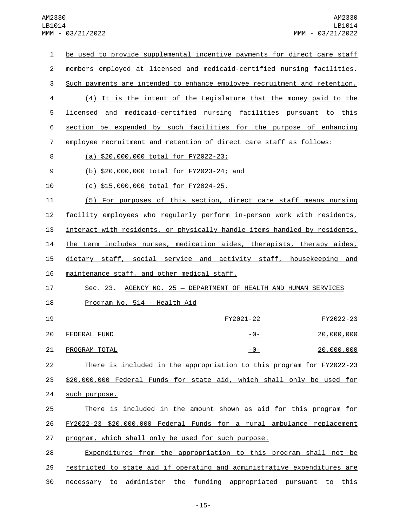| $\mathbf{1}$   | be used to provide supplemental incentive payments for direct care staff  |                |            |
|----------------|---------------------------------------------------------------------------|----------------|------------|
| $\overline{c}$ | members employed at licensed and medicaid-certified nursing facilities.   |                |            |
| 3              | Such payments are intended to enhance employee recruitment and retention. |                |            |
| 4              | (4) It is the intent of the Legislature that the money paid to the        |                |            |
| 5              | licensed and medicaid-certified nursing facilities pursuant to this       |                |            |
| 6              | section be expended by such facilities for the purpose of enhancing       |                |            |
| $\overline{7}$ | employee recruitment and retention of direct care staff as follows:       |                |            |
| 8              | (a) \$20,000,000 total for FY2022-23;                                     |                |            |
| 9              | (b) \$20,000,000 total for FY2023-24; and                                 |                |            |
| 10             | (c) \$15,000,000 total for FY2024-25.                                     |                |            |
| 11             | (5) For purposes of this section, direct care staff means nursing         |                |            |
| 12             | facility employees who regularly perform in-person work with residents,   |                |            |
| 13             | interact with residents, or physically handle items handled by residents. |                |            |
| 14             | The term includes nurses, medication aides, therapists, therapy aides,    |                |            |
| 15             | dietary staff, social service and activity staff, housekeeping and        |                |            |
|                | maintenance staff, and other medical staff.                               |                |            |
| 16             |                                                                           |                |            |
| 17             | Sec. 23. AGENCY NO. 25 - DEPARTMENT OF HEALTH AND HUMAN SERVICES          |                |            |
| 18             | Program No. 514 - Health Aid                                              |                |            |
| 19             |                                                                           | FY2021-22      | FY2022-23  |
| 20             | FEDERAL FUND                                                              | <u> - 0 - </u> | 20,000,000 |
| 21             | PROGRAM TOTAL                                                             | $-0-$          | 20,000,000 |
| 22             | There is included in the appropriation to this program for FY2022-23      |                |            |
| 23             | \$20,000,000 Federal Funds for state aid, which shall only be used for    |                |            |
| 24             | such purpose.                                                             |                |            |
| 25             | There is included in the amount shown as aid for this program for         |                |            |
| 26             | FY2022-23 \$20,000,000 Federal Funds for a rural ambulance replacement    |                |            |
| 27             | program, which shall only be used for such purpose.                       |                |            |
| 28             | Expenditures from the appropriation to this program shall not be          |                |            |
| 29             | restricted to state aid if operating and administrative expenditures are  |                |            |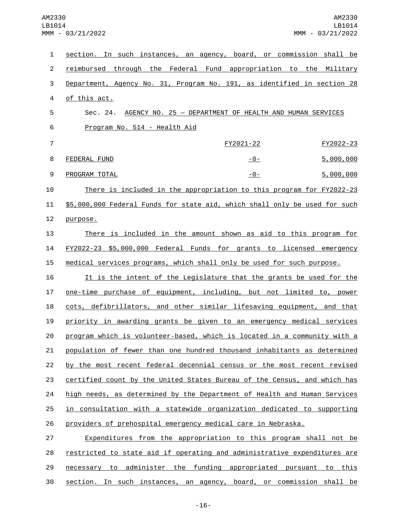| 1              | section. In such instances, an agency, board, or commission shall be       |
|----------------|----------------------------------------------------------------------------|
| 2              | reimbursed through the Federal Fund appropriation to the Military          |
| 3              | Department, Agency No. 31, Program No. 191, as identified in section 28    |
| 4              | of this act.                                                               |
| 5              | Sec. 24. AGENCY NO. 25 - DEPARTMENT OF HEALTH AND HUMAN SERVICES           |
| 6              | Program No. 514 - Health Aid                                               |
| $\overline{7}$ | FY2021-22<br>FY2022-23                                                     |
| 8              | FEDERAL FUND<br>5,000,000<br>$-0-$                                         |
| 9              | PROGRAM TOTAL<br>$-0-$<br>5,000,000                                        |
| 10             | There is included in the appropriation to this program for FY2022-23       |
| 11             | \$5,000,000 Federal Funds for state aid, which shall only be used for such |
| 12             | purpose.                                                                   |
| 13             | There is included in the amount shown as aid to this program for           |
| 14             | FY2022-23 \$5,000,000 Federal Funds for grants to licensed emergency       |
| 15             | medical services programs, which shall only be used for such purpose.      |
| 16             | It is the intent of the Legislature that the grants be used for the        |
| 17             | one-time purchase of equipment, including, but not limited to, power       |
| 18             | cots, defibrillators, and other similar lifesaving equipment, and that     |
| 19             | priority in awarding grants be given to an emergency medical services      |
| 20             | program which is volunteer-based, which is located in a community with a   |
| 21             | population of fewer than one hundred thousand inhabitants as determined    |
| 22             | by the most recent federal decennial census or the most recent revised     |
| 23             | certified count by the United States Bureau of the Census, and which has   |
| 24             | high needs, as determined by the Department of Health and Human Services   |
| 25             | in consultation with a statewide organization dedicated to supporting      |
| 26             | providers of prehospital emergency medical care in Nebraska.               |
| 27             | Expenditures from the appropriation to this program shall not be           |
| 28             | restricted to state aid if operating and administrative expenditures are   |
| 29             | necessary to administer the funding appropriated pursuant to this          |

section. In such instances, an agency, board, or commission shall be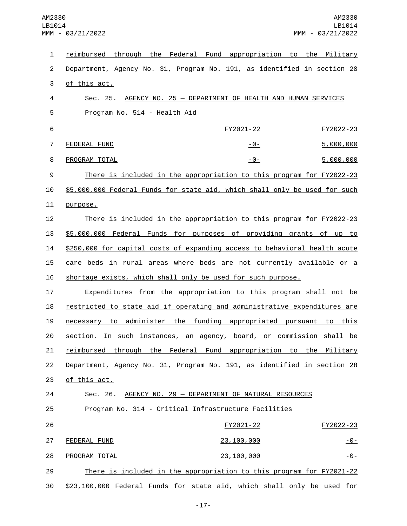| $\mathbf{1}$   | reimbursed through the Federal Fund appropriation to the Military          |
|----------------|----------------------------------------------------------------------------|
| $\overline{2}$ | Department, Agency No. 31, Program No. 191, as identified in section 28    |
| 3              | of this act.                                                               |
| 4              | Sec. 25.<br>AGENCY NO. 25 - DEPARTMENT OF HEALTH AND HUMAN SERVICES        |
| 5              | Program No. 514 - Health Aid                                               |
| 6              | FY2021-22<br>FY2022-23                                                     |
| $\overline{7}$ | FEDERAL FUND<br>5,000,000<br><u> - 0 - </u>                                |
| 8              | PROGRAM TOTAL<br>$-0-$<br>5,000,000                                        |
| 9              | There is included in the appropriation to this program for FY2022-23       |
| 10             | \$5,000,000 Federal Funds for state aid, which shall only be used for such |
| 11             | purpose.                                                                   |
| 12             | There is included in the appropriation to this program for FY2022-23       |
| 13             | \$5,000,000 Federal Funds for purposes of providing grants of up to        |
| 14             | \$250,000 for capital costs of expanding access to behavioral health acute |
| 15             | care beds in rural areas where beds are not currently available or a       |
| 16             | shortage exists, which shall only be used for such purpose.                |
| 17             | Expenditures from the appropriation to this program shall not be           |
| 18             | restricted to state aid if operating and administrative expenditures are   |
| 19             | necessary to administer the funding appropriated pursuant to this          |
| 20             | section. In such instances, an agency, board, or commission shall be       |
| 21             | reimbursed through the Federal Fund appropriation to the Military          |
| 22             | Department, Agency No. 31, Program No. 191, as identified in section 28    |
| 23             | of this act.                                                               |
| 24             | Sec. 26. AGENCY NO. 29 - DEPARTMENT OF NATURAL RESOURCES                   |
| 25             | Program No. 314 - Critical Infrastructure Facilities                       |
| 26             | FY2021-22<br>FY2022-23                                                     |
| 27             | FEDERAL FUND<br>23,100,000<br>$-0-$                                        |
| 28             | PROGRAM TOTAL<br>23,100,000<br>$-0-$                                       |
| 29             | There is included in the appropriation to this program for FY2021-22       |
| 30             | \$23,100,000 Federal Funds for state aid, which shall only be used for     |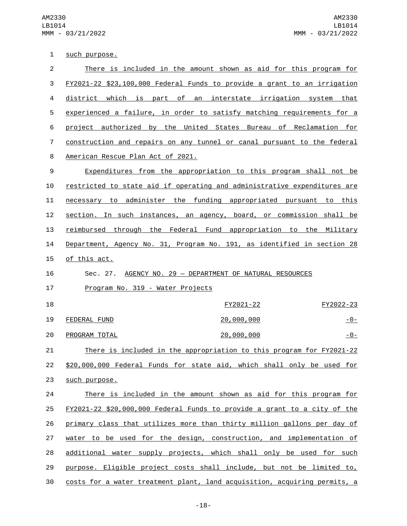1 such purpose.

| $\overline{2}$ | There is included in the amount shown as aid for this program for         |
|----------------|---------------------------------------------------------------------------|
| 3              | FY2021-22 \$23,100,000 Federal Funds to provide a grant to an irrigation  |
| 4              | district which is part of an interstate irrigation system that            |
| 5              | experienced a failure, in order to satisfy matching requirements for a    |
| 6              | project authorized by the United States Bureau of Reclamation for         |
| 7              | construction and repairs on any tunnel or canal pursuant to the federal   |
| 8              | American Rescue Plan Act of 2021.                                         |
| 9              | Expenditures from the appropriation to this program shall not be          |
| 10             | restricted to state aid if operating and administrative expenditures are  |
| 11             | necessary to administer the funding appropriated pursuant to this         |
| 12             | section. In such instances, an agency, board, or commission shall be      |
| 13             | reimbursed through the Federal Fund appropriation to the Military         |
| 14             | Department, Agency No. 31, Program No. 191, as identified in section 28   |
| 15             | of this act.                                                              |
| 16             | Sec. 27. AGENCY NO. 29 - DEPARTMENT OF NATURAL RESOURCES                  |
| 17             | Program No. 319 - Water Projects                                          |
| 18             | FY2022-23<br>FY2021-22                                                    |
| 19             | FEDERAL FUND<br>20,000,000<br><u> - 0 - </u>                              |
| 20             | PROGRAM TOTAL<br>20,000,000<br>-0-                                        |
| 21             | There is included in the appropriation to this program for FY2021-22      |
| 22             | \$20,000,000 Federal Funds for state aid, which shall only be used for    |
| 23             | such purpose.                                                             |
| 24             | There is included in the amount shown as aid for this program for         |
| 25             | FY2021-22 \$20,000,000 Federal Funds to provide a grant to a city of the  |
| 26             | primary class that utilizes more than thirty million gallons per day of   |
| 27             | water to be used for the design, construction, and implementation of      |
| 28             | additional water supply projects, which shall only be used for such       |
| 29             | purpose. Eligible project costs shall include, but not be limited to,     |
| 30             | costs for a water treatment plant, land acquisition, acquiring permits, a |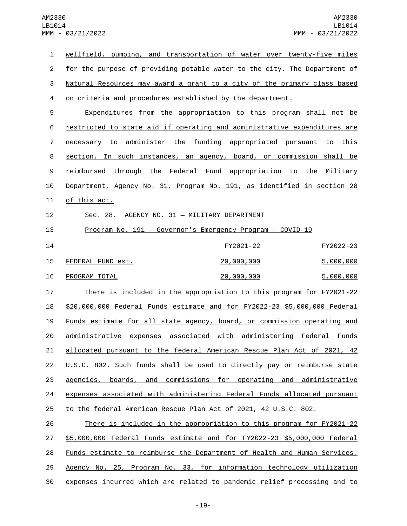| 1              | wellfield, pumping, and transportation of water over twenty-five miles    |            |           |
|----------------|---------------------------------------------------------------------------|------------|-----------|
| $\overline{c}$ | for the purpose of providing potable water to the city. The Department of |            |           |
| 3              | Natural Resources may award a grant to a city of the primary class based  |            |           |
| 4              | on criteria and procedures established by the department.                 |            |           |
| 5              | Expenditures from the appropriation to this program shall not be          |            |           |
| 6              | restricted to state aid if operating and administrative expenditures are  |            |           |
| $\overline{7}$ | necessary to administer the funding appropriated pursuant to this         |            |           |
| 8              | section. In such instances, an agency, board, or commission shall be      |            |           |
| 9              | reimbursed through the Federal Fund appropriation to the Military         |            |           |
| 10             | Department, Agency No. 31, Program No. 191, as identified in section 28   |            |           |
| 11             | of this act.                                                              |            |           |
| 12             | Sec. 28. AGENCY NO. 31 - MILITARY DEPARTMENT                              |            |           |
| 13             | Program No. 191 - Governor's Emergency Program - COVID-19                 |            |           |
| 14             |                                                                           | FY2021-22  | FY2022-23 |
| 15             | FEDERAL FUND est.                                                         | 20,000,000 | 5,000,000 |
| 16             | PROGRAM TOTAL                                                             | 20,000,000 | 5,000,000 |
| 17             | There is included in the appropriation to this program for FY2021-22      |            |           |
| 18             | \$20,000,000 Federal Funds estimate and for FY2022-23 \$5,000,000 Federal |            |           |
| 19             | Funds estimate for all state agency, board, or commission operating and   |            |           |
| 20             | administrative expenses associated with administering Federal Funds       |            |           |
| 21             | allocated pursuant to the federal American Rescue Plan Act of 2021, 42    |            |           |
| 22             | U.S.C. 802. Such funds shall be used to directly pay or reimburse state   |            |           |
| 23             | agencies, boards, and commissions for operating and administrative        |            |           |
| 24             | expenses associated with administering Federal Funds allocated pursuant   |            |           |
| 25             | to the federal American Rescue Plan Act of 2021, 42 U.S.C. 802.           |            |           |
| 26             | There is included in the appropriation to this program for FY2021-22      |            |           |
| 27             | \$5,000,000 Federal Funds estimate and for FY2022-23 \$5,000,000 Federal  |            |           |
| 28             | Funds estimate to reimburse the Department of Health and Human Services,  |            |           |
| 29             | Agency No. 25, Program No. 33, for information technology utilization     |            |           |
| 30             | expenses incurred which are related to pandemic relief processing and to  |            |           |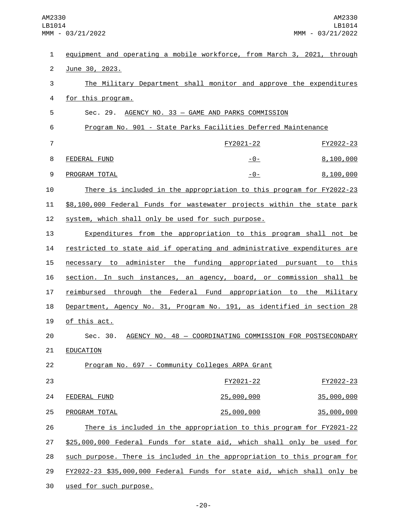| 1              | equipment and operating a mobile workforce, from March 3, 2021, through  |            |            |
|----------------|--------------------------------------------------------------------------|------------|------------|
| $\overline{2}$ | June 30, 2023.                                                           |            |            |
| 3              | The Military Department shall monitor and approve the expenditures       |            |            |
| 4              | <u>for this program.</u>                                                 |            |            |
| 5              | Sec. 29. AGENCY NO. 33 - GAME AND PARKS COMMISSION                       |            |            |
| 6              | Program No. 901 - State Parks Facilities Deferred Maintenance            |            |            |
| $\overline{7}$ |                                                                          | FY2021-22  | FY2022-23  |
| 8              | FEDERAL FUND                                                             | -0-        | 8,100,000  |
| 9              | PROGRAM TOTAL                                                            | $-0-$      | 8,100,000  |
| 10             | There is included in the appropriation to this program for FY2022-23     |            |            |
| 11             | \$8,100,000 Federal Funds for wastewater projects within the state park  |            |            |
| 12             | system, which shall only be used for such purpose.                       |            |            |
| 13             | Expenditures from the appropriation to this program shall not be         |            |            |
| 14             | restricted to state aid if operating and administrative expenditures are |            |            |
| 15             | necessary to administer the funding appropriated pursuant to this        |            |            |
| 16             | section. In such instances, an agency, board, or commission shall be     |            |            |
| 17             | reimbursed through the Federal Fund appropriation to the Military        |            |            |
| 18             | Department, Agency No. 31, Program No. 191, as identified in section 28  |            |            |
| 19             | of this act.                                                             |            |            |
| 20             | Sec. 30. AGENCY NO. 48 - COORDINATING COMMISSION FOR POSTSECONDARY       |            |            |
| 21             | EDUCATION                                                                |            |            |
| 22             | Program No. 697 - Community Colleges ARPA Grant                          |            |            |
| 23             |                                                                          | FY2021-22  | FY2022-23  |
| 24             | FEDERAL FUND                                                             | 25,000,000 | 35,000,000 |
| 25             | PROGRAM TOTAL                                                            | 25,000,000 | 35,000,000 |
| 26             | There is included in the appropriation to this program for FY2021-22     |            |            |
| 27             | \$25,000,000 Federal Funds for state aid, which shall only be used for   |            |            |
| 28             | such purpose. There is included in the appropriation to this program for |            |            |
| 29             | FY2022-23 \$35,000,000 Federal Funds for state aid, which shall only be  |            |            |
| 30             | used for such purpose.                                                   |            |            |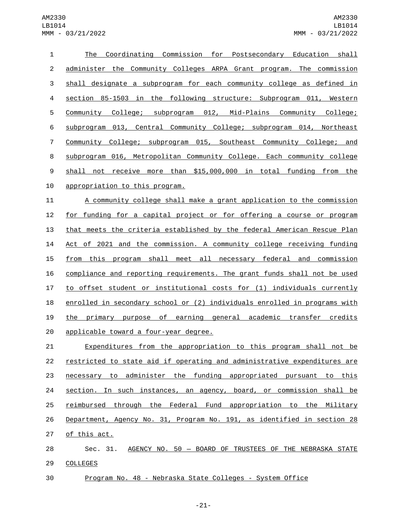| 1              | The<br>Coordinating Commission for Postsecondary Education shall            |
|----------------|-----------------------------------------------------------------------------|
| 2              | administer the Community Colleges ARPA Grant program. The commission        |
| 3              | shall designate a subprogram for each community college as defined in       |
| 4              | section 85-1503 in the following structure: Subprogram 011, Western         |
| 5              | College; subprogram 012, Mid-Plains Community College;<br>Community         |
| 6              | 013, Central Community College; subprogram 014, Northeast<br>subprogram     |
| $\overline{7}$ | Community College; subprogram 015, Southeast Community College; and         |
| 8              | subprogram 016, Metropolitan Community College. Each community college      |
| 9              | more than \$15,000,000 in total funding from the<br>shall<br>receive<br>not |
| 10             | appropriation to this program.                                              |
| 11             | A community college shall make a grant application to the commission        |
| 1. 2.          | for funding for a capital project or for offoring a course or program       |

 for funding for a capital project or for offering a course or program that meets the criteria established by the federal American Rescue Plan Act of 2021 and the commission. A community college receiving funding 15 from this program shall meet all necessary federal and commission compliance and reporting requirements. The grant funds shall not be used to offset student or institutional costs for (1) individuals currently enrolled in secondary school or (2) individuals enrolled in programs with the primary purpose of earning general academic transfer credits 20 applicable toward a four-year degree.

 Expenditures from the appropriation to this program shall not be restricted to state aid if operating and administrative expenditures are 23 necessary to administer the funding appropriated pursuant to this section. In such instances, an agency, board, or commission shall be reimbursed through the Federal Fund appropriation to the Military Department, Agency No. 31, Program No. 191, as identified in section 28 27 of this act. Sec. 31. AGENCY NO. 50 — BOARD OF TRUSTEES OF THE NEBRASKA STATE

- 29 COLLEGES
- Program No. 48 Nebraska State Colleges System Office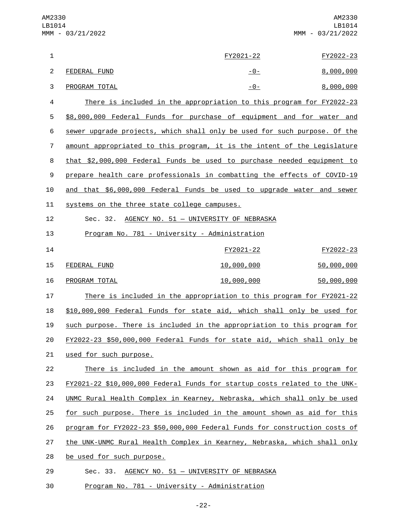| $\mathbf 1$    |                                                                            | FY2021-22  | FY2022-23  |
|----------------|----------------------------------------------------------------------------|------------|------------|
| $\overline{c}$ | FEDERAL FUND                                                               | $-0-$      | 8,000,000  |
| 3              | PROGRAM TOTAL                                                              | $-0-$      | 8,000,000  |
| 4              | There is included in the appropriation to this program for FY2022-23       |            |            |
| 5              | \$8,000,000 Federal Funds for purchase of equipment and for water and      |            |            |
| 6              | sewer upgrade projects, which shall only be used for such purpose. Of the  |            |            |
| 7              | amount appropriated to this program, it is the intent of the Legislature   |            |            |
| 8              | that \$2,000,000 Federal Funds be used to purchase needed equipment to     |            |            |
| 9              | prepare health care professionals in combatting the effects of COVID-19    |            |            |
| 10             | and that \$6,000,000 Federal Funds be used to upgrade water and sewer      |            |            |
| 11             | systems on the three state college campuses.                               |            |            |
| 12             | Sec. 32. AGENCY NO. 51 - UNIVERSITY OF NEBRASKA                            |            |            |
| 13             | Program No. 781 - University - Administration                              |            |            |
| 14             |                                                                            | FY2021-22  | FY2022-23  |
| 15             | FEDERAL FUND                                                               | 10,000,000 | 50,000,000 |
| 16             | PROGRAM TOTAL                                                              | 10,000,000 | 50,000,000 |
| 17             | There is included in the appropriation to this program for FY2021-22       |            |            |
| 18             | \$10,000,000 Federal Funds for state aid, which shall only be used for     |            |            |
| 19             | such purpose. There is included in the appropriation to this program for   |            |            |
| 20             | FY2022-23 \$50,000,000 Federal Funds for state aid, which shall only be    |            |            |
| 21             | used for such purpose.                                                     |            |            |
| 22             | There is included in the amount shown as aid for this program for          |            |            |
| 23             | FY2021-22 \$10,000,000 Federal Funds for startup costs related to the UNK- |            |            |
| 24             | UNMC Rural Health Complex in Kearney, Nebraska, which shall only be used   |            |            |
| 25             | for such purpose. There is included in the amount shown as aid for this    |            |            |
| 26             | program for FY2022-23 \$50,000,000 Federal Funds for construction costs of |            |            |
| 27             | the UNK-UNMC Rural Health Complex in Kearney, Nebraska, which shall only   |            |            |
| 28             | be used for such purpose.                                                  |            |            |
| 29             | Sec. 33. AGENCY NO. 51 - UNIVERSITY OF NEBRASKA                            |            |            |
| 30             | Program No. 781 - University - Administration                              |            |            |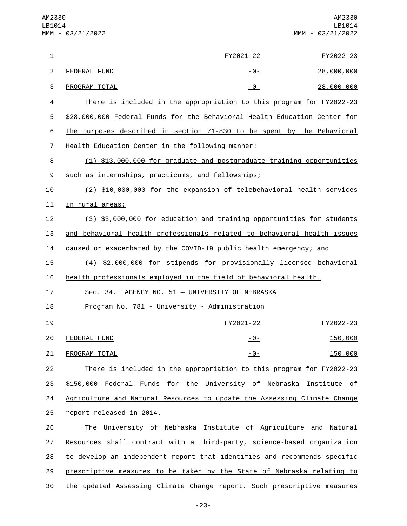| 1              |                                                                           | FY2021-22 | FY2022-23  |
|----------------|---------------------------------------------------------------------------|-----------|------------|
| $\overline{c}$ | FEDERAL FUND                                                              | $-0-$     | 28,000,000 |
| 3              | PROGRAM TOTAL                                                             | $-0-$     | 28,000,000 |
| 4              | There is included in the appropriation to this program for FY2022-23      |           |            |
| 5              | \$28,000,000 Federal Funds for the Behavioral Health Education Center for |           |            |
| 6              | the purposes described in section 71-830 to be spent by the Behavioral    |           |            |
| 7              | Health Education Center in the following manner:                          |           |            |
| 8              | (1) \$13,000,000 for graduate and postgraduate training opportunities     |           |            |
| 9              | such as internships, practicums, and fellowships;                         |           |            |
| 10             | (2) \$10,000,000 for the expansion of telebehavioral health services      |           |            |
| 11             | <u>in rural areas;</u>                                                    |           |            |
| 12             | (3) \$3,000,000 for education and training opportunities for students     |           |            |
| 13             | and behavioral health professionals related to behavioral health issues   |           |            |
| 14             | caused or exacerbated by the COVID-19 public health emergency; and        |           |            |
| 15             | (4) \$2,000,000 for stipends for provisionally licensed behavioral        |           |            |
| 16             | health professionals employed in the field of behavioral health.          |           |            |
| 17             | AGENCY NO. 51 - UNIVERSITY OF NEBRASKA<br>Sec. 34.                        |           |            |
| 18             | Program No. 781 - University - Administration                             |           |            |
| 19             |                                                                           | FY2021-22 | FY2022-23  |
| 20             | FEDERAL FUND                                                              | $-0-$     | 150,000    |
| 21             | PROGRAM TOTAL                                                             | $-0-$     | 150,000    |
| 22             | There is included in the appropriation to this program for FY2022-23      |           |            |
| 23             | \$150,000 Federal Funds for the University of Nebraska Institute of       |           |            |
| 24             | Agriculture and Natural Resources to update the Assessing Climate Change  |           |            |
| 25             | report released in 2014.                                                  |           |            |
| 26             | The University of Nebraska Institute of Agriculture and Natural           |           |            |
| 27             | Resources shall contract with a third-party, science-based organization   |           |            |
| 28             | to develop an independent report that identifies and recommends specific  |           |            |
| 29             | prescriptive measures to be taken by the State of Nebraska relating to    |           |            |
| 30             | the updated Assessing Climate Change report. Such prescriptive measures   |           |            |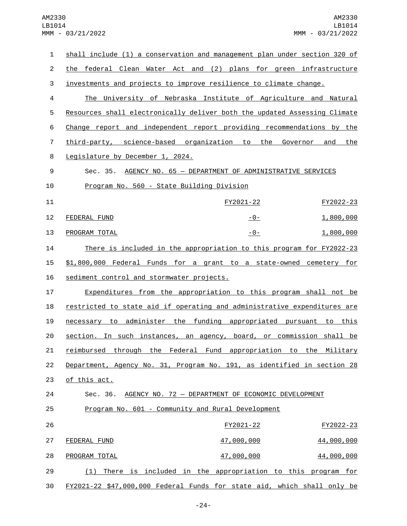| $\mathbf{1}$   | shall include (1) a conservation and management plan under section 320 of |
|----------------|---------------------------------------------------------------------------|
| $\overline{c}$ | the federal Clean Water Act and (2) plans for green infrastructure        |
| 3              | investments and projects to improve resilience to climate change.         |
| 4              | The University of Nebraska Institute of Agriculture and Natural           |
| 5              | Resources shall electronically deliver both the updated Assessing Climate |
| 6              | Change report and independent report providing recommendations by the     |
| $\overline{7}$ | third-party, science-based organization to the Governor and the           |
| 8              | Legislature by December 1, 2024.                                          |
| 9              | Sec. 35. AGENCY NO. 65 - DEPARTMENT OF ADMINISTRATIVE SERVICES            |
| 10             | Program No. 560 - State Building Division                                 |
| 11             | FY2021-22<br>FY2022-23                                                    |
| 12             | FEDERAL FUND<br>1,800,000<br><u> - 0 - </u>                               |
| 13             | PROGRAM TOTAL<br>1,800,000<br>$-0-$                                       |
| 14             | There is included in the appropriation to this program for FY2022-23      |
| 15             | \$1,800,000 Federal Funds for a grant to a state-owned cemetery for       |
| 16             | sediment control and stormwater projects.                                 |
| 17             | Expenditures from the appropriation to this program shall not be          |
| 18             | restricted to state aid if operating and administrative expenditures are  |
| 19             | necessary to administer the funding appropriated pursuant to this         |
| 20             | section. In such instances, an agency, board, or commission shall be      |
| 21             | reimbursed through the Federal Fund appropriation to the<br>Military      |
| 22             | Department, Agency No. 31, Program No. 191, as identified in section 28   |
| 23             | of this act.                                                              |
| 24             | Sec. 36. AGENCY NO. 72 - DEPARTMENT OF ECONOMIC DEVELOPMENT               |
| 25             | Program No. 601 - Community and Rural Development                         |
| 26             | FY2021-22<br>FY2022-23                                                    |
| 27             | 47,000,000<br>44,000,000<br>FEDERAL FUND                                  |
| 28             | PROGRAM TOTAL<br>47,000,000<br>44,000,000                                 |
| 29             | (1) There is included in the appropriation to this program for            |
| 30             | FY2021-22 \$47,000,000 Federal Funds for state aid, which shall only be   |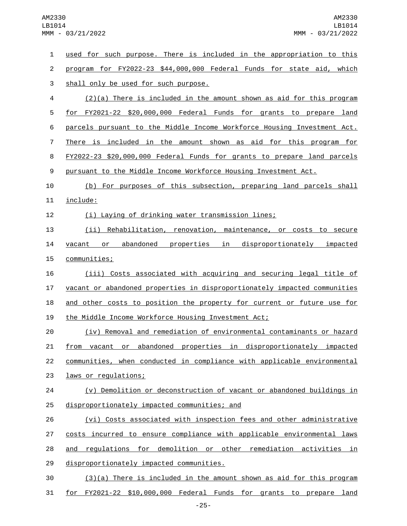| $\mathbf{1}$   | used for such purpose. There is included in the appropriation to this     |
|----------------|---------------------------------------------------------------------------|
| $\overline{2}$ | program for FY2022-23 \$44,000,000 Federal Funds for state aid, which     |
| 3              | shall only be used for such purpose.                                      |
| 4              | $(2)(a)$ There is included in the amount shown as aid for this program    |
| 5              | for FY2021-22 \$20,000,000 Federal Funds for grants to prepare land       |
| 6              | parcels pursuant to the Middle Income Workforce Housing Investment Act.   |
| $\overline{7}$ | There is included in the amount shown as aid for this program for         |
| 8              | FY2022-23 \$20,000,000 Federal Funds for grants to prepare land parcels   |
| 9              | pursuant to the Middle Income Workforce Housing Investment Act.           |
| 10             | (b) For purposes of this subsection, preparing land parcels shall         |
| 11             | include:                                                                  |
| 12             | (i) Laying of drinking water transmission lines;                          |
| 13             | (ii) Rehabilitation, renovation, maintenance, or costs to secure          |
| 14             | vacant or abandoned properties in disproportionately impacted             |
| 15             | communities;                                                              |
| 16             | (iii) Costs associated with acquiring and securing legal title of         |
| 17             | vacant or abandoned properties in disproportionately impacted communities |
| 18             | and other costs to position the property for current or future use for    |
| 19             | the Middle Income Workforce Housing Investment Act;                       |
| 20             | (iv) Removal and remediation of environmental contaminants or hazard      |
| 21             | from vacant or abandoned properties in disproportionately impacted        |
| 22             | communities, when conducted in compliance with applicable environmental   |
| 23             | laws or regulations;                                                      |
| 24             | (v) Demolition or deconstruction of vacant or abandoned buildings in      |
| 25             | disproportionately impacted communities; and                              |
| 26             | (vi) Costs associated with inspection fees and other administrative       |
| 27             | costs incurred to ensure compliance with applicable environmental laws    |
| 28             | and regulations for demolition or other remediation activities in         |
| 29             | disproportionately impacted communities.                                  |
| 30             | $(3)(a)$ There is included in the amount shown as aid for this program    |
| 31             | FY2021-22 \$10,000,000 Federal Funds for grants to prepare land<br>for    |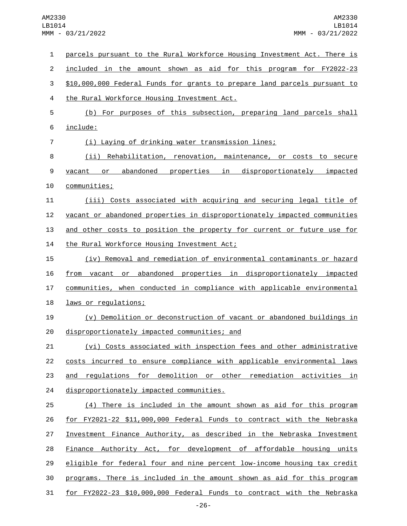| 1              | parcels pursuant to the Rural Workforce Housing Investment Act. There is   |
|----------------|----------------------------------------------------------------------------|
| $\overline{c}$ | included in the amount shown as aid for this program for FY2022-23         |
| 3              | \$10,000,000 Federal Funds for grants to prepare land parcels pursuant to  |
| 4              | the Rural Workforce Housing Investment Act.                                |
| 5              | (b) For purposes of this subsection, preparing land parcels shall          |
| 6              | include:                                                                   |
| 7              | (i) Laying of drinking water transmission lines;                           |
| 8              | (ii) Rehabilitation, renovation, maintenance, or costs to secure           |
| 9              | or abandoned properties in disproportionately impacted<br>vacant           |
| 10             | communities;                                                               |
| 11             | (iii) Costs associated with acquiring and securing legal title of          |
| 12             | vacant or abandoned properties in disproportionately impacted communities  |
| 13             | and other costs to position the property for current or future use for     |
| 14             | the Rural Workforce Housing Investment Act;                                |
| 15             | (iv) Removal and remediation of environmental contaminants or hazard       |
| 16             | vacant or abandoned properties in disproportionately impacted<br>from      |
| 17             | communities, when conducted in compliance with applicable environmental    |
| 18             | laws or regulations;                                                       |
| 19             | (v) Demolition or deconstruction of vacant or abandoned buildings in       |
| 20             | disproportionately impacted communities; and                               |
| 21             | <u>(vi) Costs associated with inspection fees and other administrative</u> |
| 22             | costs incurred to ensure compliance with applicable environmental laws     |
| 23             | and regulations for demolition or other remediation activities in          |
| 24             | disproportionately impacted communities.                                   |
| 25             | (4) There is included in the amount shown as aid for this program          |
| 26             | for FY2021-22 \$11,000,000 Federal Funds to contract with the Nebraska     |
| 27             | Investment Finance Authority, as described in the Nebraska Investment      |
| 28             | Finance Authority Act, for development of affordable housing units         |
| 29             | eligible for federal four and nine percent low-income housing tax credit   |
| 30             | programs. There is included in the amount shown as aid for this program    |
| 31             | for FY2022-23 \$10,000,000 Federal Funds to contract with the Nebraska     |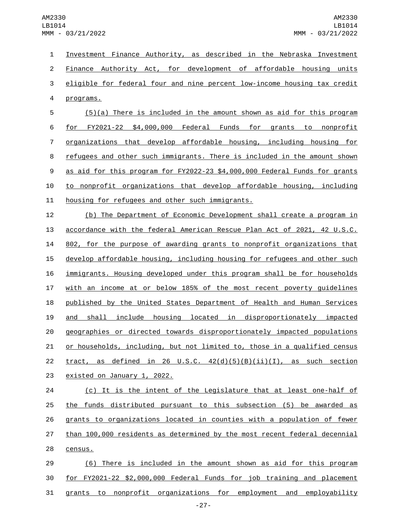Investment Finance Authority, as described in the Nebraska Investment Finance Authority Act, for development of affordable housing units eligible for federal four and nine percent low-income housing tax credit 4 programs.

 (5)(a) There is included in the amount shown as aid for this program for FY2021-22 \$4,000,000 Federal Funds for grants to nonprofit organizations that develop affordable housing, including housing for refugees and other such immigrants. There is included in the amount shown as aid for this program for FY2022-23 \$4,000,000 Federal Funds for grants to nonprofit organizations that develop affordable housing, including 11 housing for refugees and other such immigrants.

 (b) The Department of Economic Development shall create a program in accordance with the federal American Rescue Plan Act of 2021, 42 U.S.C. 802, for the purpose of awarding grants to nonprofit organizations that develop affordable housing, including housing for refugees and other such immigrants. Housing developed under this program shall be for households with an income at or below 185% of the most recent poverty guidelines published by the United States Department of Health and Human Services and shall include housing located in disproportionately impacted geographies or directed towards disproportionately impacted populations 21 or households, including, but not limited to, those in a qualified census 22 tract, as defined in 26 U.S.C.  $42(d)(5)(B)(ii)(I)$ , as such section 23 existed on January 1, 2022.

 (c) It is the intent of the Legislature that at least one-half of the funds distributed pursuant to this subsection (5) be awarded as grants to organizations located in counties with a population of fewer than 100,000 residents as determined by the most recent federal decennial 28 census.

 (6) There is included in the amount shown as aid for this program for FY2021-22 \$2,000,000 Federal Funds for job training and placement grants to nonprofit organizations for employment and employability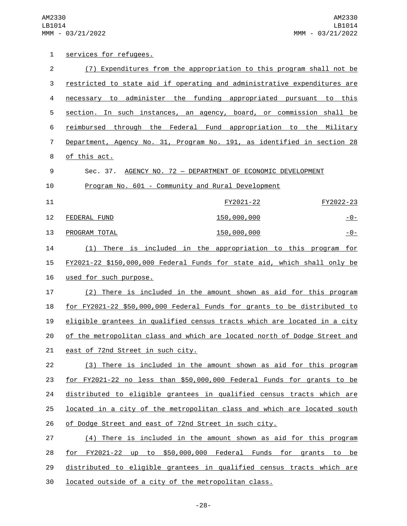| $\mathbf 1$ | <u>services for refugees.</u>                                             |  |  |
|-------------|---------------------------------------------------------------------------|--|--|
| 2           | (7) Expenditures from the appropriation to this program shall not be      |  |  |
| 3           | restricted to state aid if operating and administrative expenditures are  |  |  |
| 4           | necessary to administer the funding appropriated pursuant to this         |  |  |
| 5           | section. In such instances, an agency, board, or commission shall be      |  |  |
| 6           | reimbursed through the Federal Fund appropriation to the<br>Military      |  |  |
| 7           | Department, Agency No. 31, Program No. 191, as identified in section 28   |  |  |
| 8           | of this act.                                                              |  |  |
| 9           | Sec. 37. AGENCY NO. 72 - DEPARTMENT OF ECONOMIC DEVELOPMENT               |  |  |
| 10          | Program No. 601 - Community and Rural Development                         |  |  |
| 11          | FY2022-23<br>FY2021-22                                                    |  |  |
| 12          | FEDERAL FUND<br>150,000,000<br><u> - 0 - </u>                             |  |  |
| 13          | PROGRAM TOTAL<br>150,000,000<br>$-0-$                                     |  |  |
| 14          | (1) There is included in the appropriation to this program for            |  |  |
| 15          | FY2021-22 \$150,000,000 Federal Funds for state aid, which shall only be  |  |  |
| 16          | used for such purpose.                                                    |  |  |
| 17          | (2) There is included in the amount shown as aid for this program         |  |  |
| 18          | for FY2021-22 \$50,000,000 Federal Funds for grants to be distributed to  |  |  |
| 19          | eligible grantees in qualified census tracts which are located in a city  |  |  |
| 20          | of the metropolitan class and which are located north of Dodge Street and |  |  |
| 21          | east of 72nd Street in such city.                                         |  |  |
| 22          | (3) There is included in the amount shown as aid for this program         |  |  |
| 23          | for FY2021-22 no less than \$50,000,000 Federal Funds for grants to be    |  |  |
| 24          | distributed to eligible grantees in qualified census tracts which are     |  |  |
| 25          | located in a city of the metropolitan class and which are located south   |  |  |
| 26          | of Dodge Street and east of 72nd Street in such city.                     |  |  |
| 27          | (4) There is included in the amount shown as aid for this program         |  |  |
| 28          | for FY2021-22 up to \$50,000,000 Federal Funds for grants to<br>be        |  |  |
| 29          | distributed to eligible grantees in qualified census tracts which are     |  |  |
| 30          | located outside of a city of the metropolitan class.                      |  |  |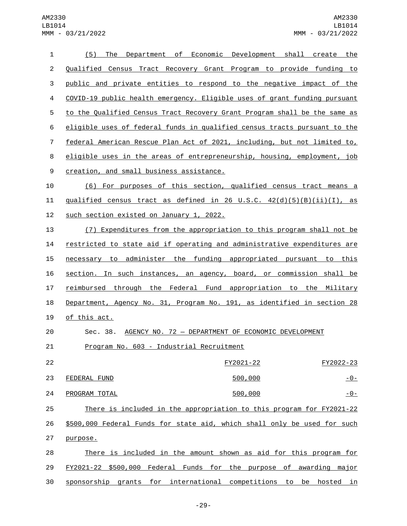| $\mathbf{1}$   | The Department of Economic Development shall create the<br>(5)             |  |  |
|----------------|----------------------------------------------------------------------------|--|--|
| $\overline{c}$ | <u>Qualified Census Tract Recovery Grant Program to provide funding to</u> |  |  |
| 3              | public and private entities to respond to the negative impact of the       |  |  |
| 4              | COVID-19 public health emergency. Eligible uses of grant funding pursuant  |  |  |
| 5              | to the Qualified Census Tract Recovery Grant Program shall be the same as  |  |  |
| 6              | eligible uses of federal funds in qualified census tracts pursuant to the  |  |  |
| 7              | federal American Rescue Plan Act of 2021, including, but not limited to,   |  |  |
| 8              | eligible uses in the areas of entrepreneurship, housing, employment, job   |  |  |
| 9              | creation, and small business assistance.                                   |  |  |
| 10             | (6) For purposes of this section, qualified census tract means a           |  |  |
| 11             | qualified census tract as defined in 26 U.S.C. $42(d)(5)(B)(ii)(I)$ , as   |  |  |
| 12             | such section existed on January 1, 2022.                                   |  |  |
| 13             | (7) Expenditures from the appropriation to this program shall not be       |  |  |
| 14             | restricted to state aid if operating and administrative expenditures are   |  |  |
| 15             | necessary to administer the funding appropriated pursuant to this          |  |  |
| 16             | section. In such instances, an agency, board, or commission shall be       |  |  |
| 17             | reimbursed through the Federal Fund appropriation to the Military          |  |  |
| 18             | Department, Agency No. 31, Program No. 191, as identified in section 28    |  |  |
| 19             | of this act.                                                               |  |  |
| 20             | AGENCY NO. 72 - DEPARTMENT OF ECONOMIC DEVELOPMENT<br>Sec. 38.             |  |  |
| 21             | Program No. 603 - Industrial Recruitment                                   |  |  |
| 22             | FY2021-22<br>FY2022-23                                                     |  |  |
| 23             | FEDERAL FUND<br>500,000<br><u>- 0 - </u>                                   |  |  |
| 24             | 500,000<br>PROGRAM TOTAL<br><u> - 0 - </u>                                 |  |  |
| 25             | There is included in the appropriation to this program for FY2021-22       |  |  |
| 26             | \$500,000 Federal Funds for state aid, which shall only be used for such   |  |  |
| 27             | purpose.                                                                   |  |  |
| 28             | There is included in the amount shown as aid for this program for          |  |  |
| 29             | FY2021-22 \$500,000 Federal Funds for the purpose of awarding major        |  |  |
| 30             | sponsorship grants for international competitions to be hosted in          |  |  |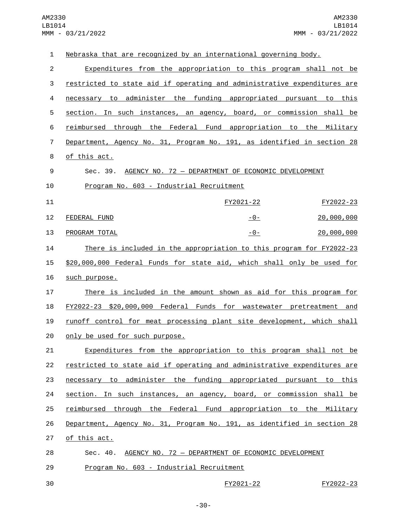| 1              | Nebraska that are recognized by an international governing body.         |  |  |
|----------------|--------------------------------------------------------------------------|--|--|
| $\overline{2}$ | Expenditures from the appropriation to this program shall not be         |  |  |
| 3              | restricted to state aid if operating and administrative expenditures are |  |  |
| 4              | necessary to administer the funding appropriated pursuant to this        |  |  |
| 5              | section. In such instances, an agency, board, or commission shall be     |  |  |
| 6              | reimbursed through the Federal Fund appropriation to the Military        |  |  |
| 7              | Department, Agency No. 31, Program No. 191, as identified in section 28  |  |  |
| 8              | of this act.                                                             |  |  |
| 9              | Sec. 39. AGENCY NO. 72 - DEPARTMENT OF ECONOMIC DEVELOPMENT              |  |  |
| 10             | Program No. 603 - Industrial Recruitment                                 |  |  |
| 11             | FY2021-22<br>FY2022-23                                                   |  |  |
| 12             | FEDERAL FUND<br>20,000,000<br><u>-0-</u>                                 |  |  |
| 13             | PROGRAM TOTAL<br>20,000,000<br>$-0-$                                     |  |  |
| 14             | There is included in the appropriation to this program for FY2022-23     |  |  |
| 15             | \$20,000,000 Federal Funds for state aid, which shall only be used for   |  |  |
| 16             | such purpose.                                                            |  |  |
| 17             | There is included in the amount shown as aid for this program for        |  |  |
| 18             | FY2022-23 \$20,000,000 Federal Funds for wastewater pretreatment and     |  |  |
| 19             | runoff control for meat processing plant site development, which shall   |  |  |
| 20             | only be used for such purpose.                                           |  |  |
| 21             | Expenditures from the appropriation to this program shall not be         |  |  |
| 22             | restricted to state aid if operating and administrative expenditures are |  |  |
| 23             | necessary to administer the funding appropriated pursuant to this        |  |  |
| 24             | section. In such instances, an agency, board, or commission shall be     |  |  |
| 25             | reimbursed through the Federal Fund appropriation to the Military        |  |  |
| 26             | Department, Agency No. 31, Program No. 191, as identified in section 28  |  |  |
| 27             | of this act.                                                             |  |  |
| 28             | Sec. 40. AGENCY NO. 72 - DEPARTMENT OF ECONOMIC DEVELOPMENT              |  |  |
| 29             | Program No. 603 - Industrial Recruitment                                 |  |  |
| 30             | FY2022-23<br>FY2021-22                                                   |  |  |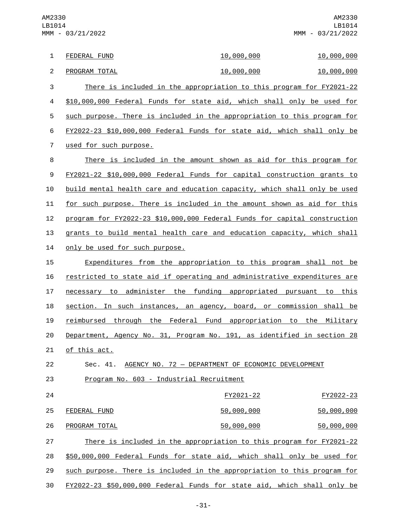| 1              | <b>FEDERAL FUND</b>                                                       | 10,000,000                                         | 10,000,000 |
|----------------|---------------------------------------------------------------------------|----------------------------------------------------|------------|
| $\overline{c}$ | PROGRAM TOTAL                                                             | 10,000,000                                         | 10,000,000 |
| 3              | There is included in the appropriation to this program for FY2021-22      |                                                    |            |
| 4              | \$10,000,000 Federal Funds for state aid, which shall only be used for    |                                                    |            |
| 5              | such purpose. There is included in the appropriation to this program for  |                                                    |            |
| 6              | FY2022-23 \$10,000,000 Federal Funds for state aid, which shall only be   |                                                    |            |
| 7              | used for such purpose.                                                    |                                                    |            |
| 8              | There is included in the amount shown as aid for this program for         |                                                    |            |
| 9              | FY2021-22 \$10,000,000 Federal Funds for capital construction grants to   |                                                    |            |
| 10             | build mental health care and education capacity, which shall only be used |                                                    |            |
| 11             | for such purpose. There is included in the amount shown as aid for this   |                                                    |            |
| 12             | program for FY2022-23 \$10,000,000 Federal Funds for capital construction |                                                    |            |
| 13             | grants to build mental health care and education capacity, which shall    |                                                    |            |
| 14             | only be used for such purpose.                                            |                                                    |            |
| 15             | Expenditures from the appropriation to this program shall not be          |                                                    |            |
| 16             | restricted to state aid if operating and administrative expenditures are  |                                                    |            |
| 17             | necessary to administer the funding appropriated pursuant to this         |                                                    |            |
| 18             | section. In such instances, an agency, board, or commission shall be      |                                                    |            |
| 19             | reimbursed through the Federal Fund appropriation to the Military         |                                                    |            |
| 20             | Department, Agency No. 31, Program No. 191, as identified in section 28   |                                                    |            |
| 21             | of this act.                                                              |                                                    |            |
| 22             | Sec. 41.                                                                  | AGENCY NO. 72 - DEPARTMENT OF ECONOMIC DEVELOPMENT |            |
| 23             | Program No. 603 - Industrial Recruitment                                  |                                                    |            |
| 24             |                                                                           | FY2021-22                                          | FY2022-23  |
| 25             | FEDERAL FUND                                                              | 50,000,000                                         | 50,000,000 |
| 26             | PROGRAM TOTAL                                                             | 50,000,000                                         | 50,000,000 |
| 27             | There is included in the appropriation to this program for FY2021-22      |                                                    |            |
| 28             | \$50,000,000 Federal Funds for state aid, which shall only be used for    |                                                    |            |
| 29             | such purpose. There is included in the appropriation to this program for  |                                                    |            |
| 30             | FY2022-23 \$50,000,000 Federal Funds for state aid, which shall only be   |                                                    |            |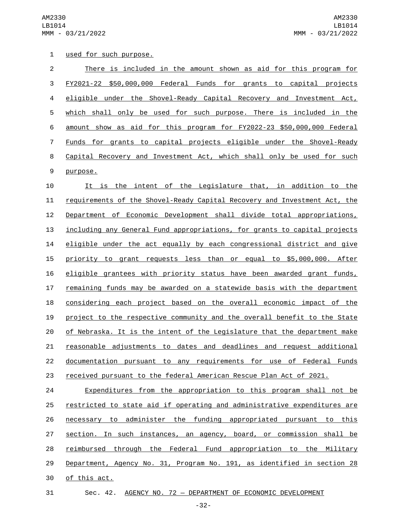1 used for such purpose.

| 2              | There is included in the amount shown as aid for this program for      |
|----------------|------------------------------------------------------------------------|
| 3              | FY2021-22 \$50,000,000 Federal Funds for grants to capital projects    |
| 4              | eligible under the Shovel-Ready Capital Recovery and Investment Act,   |
| 5              | which shall only be used for such purpose. There is included in the    |
| 6              | amount show as aid for this program for FY2022-23 \$50,000,000 Federal |
| $7\phantom{0}$ | Funds for grants to capital projects eligible under the Shovel-Ready   |
| 8              | Capital Recovery and Investment Act, which shall only be used for such |
| 9              | purpose.                                                               |

 It is the intent of the Legislature that, in addition to the requirements of the Shovel-Ready Capital Recovery and Investment Act, the Department of Economic Development shall divide total appropriations, including any General Fund appropriations, for grants to capital projects eligible under the act equally by each congressional district and give priority to grant requests less than or equal to \$5,000,000. After eligible grantees with priority status have been awarded grant funds, remaining funds may be awarded on a statewide basis with the department considering each project based on the overall economic impact of the project to the respective community and the overall benefit to the State of Nebraska. It is the intent of the Legislature that the department make reasonable adjustments to dates and deadlines and request additional documentation pursuant to any requirements for use of Federal Funds received pursuant to the federal American Rescue Plan Act of 2021.

24 Expenditures from the appropriation to this program shall not be restricted to state aid if operating and administrative expenditures are necessary to administer the funding appropriated pursuant to this section. In such instances, an agency, board, or commission shall be reimbursed through the Federal Fund appropriation to the Military Department, Agency No. 31, Program No. 191, as identified in section 28 30 of this act.

Sec. 42. AGENCY NO. 72 — DEPARTMENT OF ECONOMIC DEVELOPMENT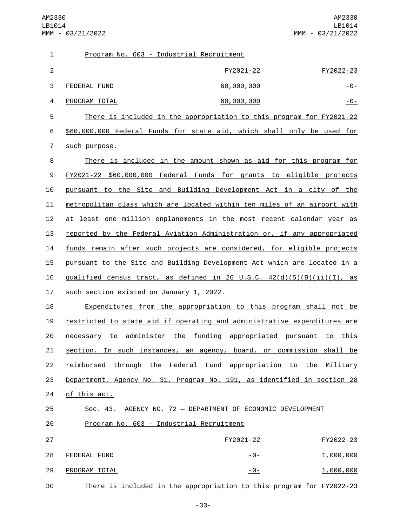| $\mathbf{1}$   | Program No. 603 - Industrial Recruitment                                  |            |             |
|----------------|---------------------------------------------------------------------------|------------|-------------|
| $\overline{2}$ |                                                                           | FY2021-22  | FY2022-23   |
| 3              | FEDERAL FUND                                                              | 60,000,000 | $-0-$       |
| 4              | PROGRAM TOTAL                                                             | 60,000,000 | $-0-$       |
| 5              | There is included in the appropriation to this program for FY2021-22      |            |             |
| 6              | \$60,000,000 Federal Funds for state aid, which shall only be used for    |            |             |
| 7              | such purpose.                                                             |            |             |
| 8              | There is included in the amount shown as aid for this program for         |            |             |
| 9              | FY2021-22 \$60,000,000 Federal Funds for grants to eligible projects      |            |             |
| 10             | pursuant to the Site and Building Development Act in a city of the        |            |             |
| 11             | metropolitan class which are located within ten miles of an airport with  |            |             |
| 12             | at least one million enplanements in the most recent calendar year as     |            |             |
| 13             | reported by the Federal Aviation Administration or, if any appropriated   |            |             |
| 14             | funds remain after such projects are considered, for eligible projects    |            |             |
| 15             | pursuant to the Site and Building Development Act which are located in a  |            |             |
| 16             | qualified census tract, as defined in 26 U.S.C. $42(d)(5)(B)(ii)(I)$ , as |            |             |
| 17             | such section existed on January 1, 2022.                                  |            |             |
| 18             | Expenditures from the appropriation to this program shall not be          |            |             |
| 19             | restricted to state aid if operating and administrative expenditures are  |            |             |
| 20             | administer the funding appropriated pursuant to<br>to<br>necessary        |            | <u>this</u> |
| 21             | section. In such instances, an agency, board, or commission shall be      |            |             |
| 22             | reimbursed through the Federal Fund appropriation to the Military         |            |             |
| 23             | Department, Agency No. 31, Program No. 191, as identified in section 28   |            |             |
| 24             | of this act.                                                              |            |             |
| 25             | Sec. 43. AGENCY NO. 72 - DEPARTMENT OF ECONOMIC DEVELOPMENT               |            |             |
| 26             | Program No. 603 - Industrial Recruitment                                  |            |             |
| 27             |                                                                           | FY2021-22  | FY2022-23   |
| 28             | FEDERAL FUND                                                              | $-0-$      | 1,000,000   |
| 29             | PROGRAM TOTAL                                                             | $-0-$      | 1,000,000   |
| 30             | There is included in the appropriation to this program for FY2022-23      |            |             |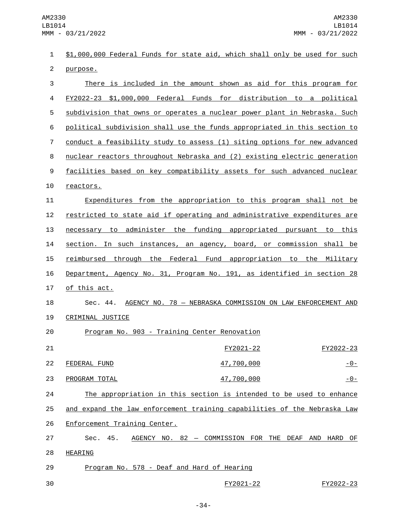1 \$1,000,000 Federal Funds for state aid, which shall only be used for such 2 purpose.

| 3              | There is included in the amount shown as aid for this program for         |
|----------------|---------------------------------------------------------------------------|
| 4              | FY2022-23 \$1,000,000 Federal Funds for distribution to a political       |
| 5              | subdivision that owns or operates a nuclear power plant in Nebraska. Such |
| 6              | political subdivision shall use the funds appropriated in this section to |
| $\overline{7}$ | conduct a feasibility study to assess (1) siting options for new advanced |
| 8              | nuclear reactors throughout Nebraska and (2) existing electric generation |
| 9              | facilities based on key compatibility assets for such advanced nuclear    |
| 10             | reactors.                                                                 |
| 11             | Expenditures from the appropriation to this program shall not be          |
| 12             | restricted to state aid if operating and administrative expenditures are  |
| 13             | necessary to administer the funding appropriated pursuant to this         |
| 14             | section. In such instances, an agency, board, or commission shall be      |
| 15             | reimbursed through the Federal Fund appropriation to the Military         |
| 16             | Department, Agency No. 31, Program No. 191, as identified in section 28   |
| 17             | of this act.                                                              |
| 18             | Sec. 44. AGENCY NO. 78 - NEBRASKA COMMISSION ON LAW ENFORCEMENT AND       |
| 19             | CRIMINAL JUSTICE                                                          |
| 20             | Program No. 903 - Training Center Renovation                              |
| 21             | FY2021-22<br>FY2022-23                                                    |
| 22             | FEDERAL FUND<br>47,700,000<br>-0-                                         |
| 23             | PROGRAM TOTAL<br>47,700,000<br>$-0-$                                      |
| 24             | The appropriation in this section is intended to be used to enhance       |
| 25             | and expand the law enforcement training capabilities of the Nebraska Law  |
| 26             | Enforcement Training Center.                                              |
| 27             | AGENCY NO. 82 - COMMISSION FOR THE DEAF AND HARD OF<br>Sec. 45.           |
| 28             | HEARING                                                                   |
| 29             | Program No. 578 - Deaf and Hard of Hearing                                |
| 30             | FY2021-22<br>FY2022-23                                                    |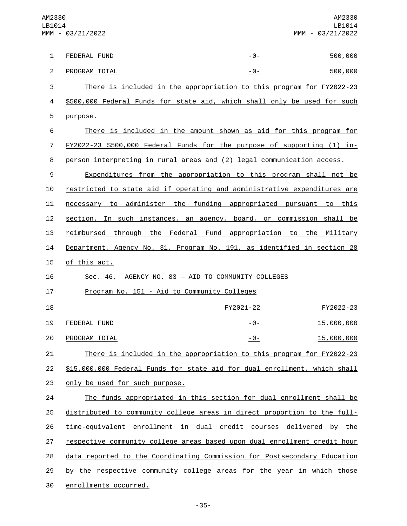1 FEDERAL FUND 1 -0- 500,000 2 PROGRAM TOTAL 2 -0- 500,000 3 There is included in the appropriation to this program for FY2022-23 4 \$500,000 Federal Funds for state aid, which shall only be used for such 5 purpose. 6 There is included in the amount shown as aid for this program for 7 FY2022-23 \$500,000 Federal Funds for the purpose of supporting (1) in-8 person interpreting in rural areas and (2) legal communication access. 9 Expenditures from the appropriation to this program shall not be 10 restricted to state aid if operating and administrative expenditures are 11 necessary to administer the funding appropriated pursuant to this 12 section. In such instances, an agency, board, or commission shall be 13 reimbursed through the Federal Fund appropriation to the Military 14 Department, Agency No. 31, Program No. 191, as identified in section 28 15 of this act. 16 Sec. 46. AGENCY NO. 83 — AID TO COMMUNITY COLLEGES 17 Program No. 151 - Aid to Community Colleges 18 FY2021-22 FY2021-22 FY2022-23 FY2022-23 FEDERAL FUND19 -0- 15,000,000 PROGRAM TOTAL20 -0- 15,000,000 21 There is included in the appropriation to this program for FY2022-23 22 \$15,000,000 Federal Funds for state aid for dual enrollment, which shall 23 only be used for such purpose. 24 The funds appropriated in this section for dual enrollment shall be 25 distributed to community college areas in direct proportion to the full-26 time-equivalent enrollment in dual credit courses delivered by the 27 respective community college areas based upon dual enrollment credit hour 28 data reported to the Coordinating Commission for Postsecondary Education 29 by the respective community college areas for the year in which those 30 enrollments occurred. AM2330 LB1014 MMM - 03/21/2022 AM2330 LB1014 MMM - 03/21/2022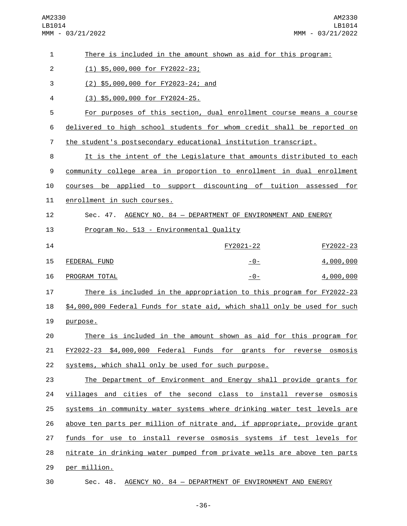| $\mathbf{1}$   | There is included in the amount shown as aid for this program:             |  |  |
|----------------|----------------------------------------------------------------------------|--|--|
| $\overline{c}$ | $(1)$ \$5,000,000 for FY2022-23;                                           |  |  |
| 3              | (2) \$5,000,000 for FY2023-24; and                                         |  |  |
| 4              | $(3)$ \$5,000,000 for FY2024-25.                                           |  |  |
| 5              | For purposes of this section, dual enrollment course means a course        |  |  |
| 6              | delivered to high school students for whom credit shall be reported on     |  |  |
| 7              | the student's postsecondary educational institution transcript.            |  |  |
| 8              | It is the intent of the Legislature that amounts distributed to each       |  |  |
| 9              | community college area in proportion to enrollment in dual enrollment      |  |  |
| 10             | courses be applied to support discounting of tuition assessed for          |  |  |
| 11             | enrollment in such courses.                                                |  |  |
| 12             | Sec. 47.<br>AGENCY NO. 84 - DEPARTMENT OF ENVIRONMENT AND ENERGY           |  |  |
| 13             | Program No. 513 - Environmental Quality                                    |  |  |
| 14             | FY2021-22<br>FY2022-23                                                     |  |  |
| 15             | FEDERAL FUND<br>4,000,000<br>$-0-$                                         |  |  |
| 16             | PROGRAM TOTAL<br>$-0-$<br>4,000,000                                        |  |  |
| 17             | There is included in the appropriation to this program for FY2022-23       |  |  |
| 18             | \$4,000,000 Federal Funds for state aid, which shall only be used for such |  |  |
| 19             | purpose.                                                                   |  |  |
| 20             | There is included in the amount shown as aid for this program for          |  |  |
| 21             | FY2022-23 \$4,000,000 Federal Funds for grants for reverse osmosis         |  |  |
| 22             | systems, which shall only be used for such purpose.                        |  |  |
| 23             | The Department of Environment and Energy shall provide grants for          |  |  |
| 24             | villages and cities of the second class to install reverse osmosis         |  |  |
| 25             | systems in community water systems where drinking water test levels are    |  |  |
| 26             | above ten parts per million of nitrate and, if appropriate, provide grant  |  |  |
| 27             | funds for use to install reverse osmosis systems if test levels for        |  |  |
| 28             | nitrate in drinking water pumped from private wells are above ten parts    |  |  |
| 29             | per million.                                                               |  |  |
| 30             | Sec. 48.<br>AGENCY NO. 84 - DEPARTMENT OF ENVIRONMENT AND ENERGY           |  |  |